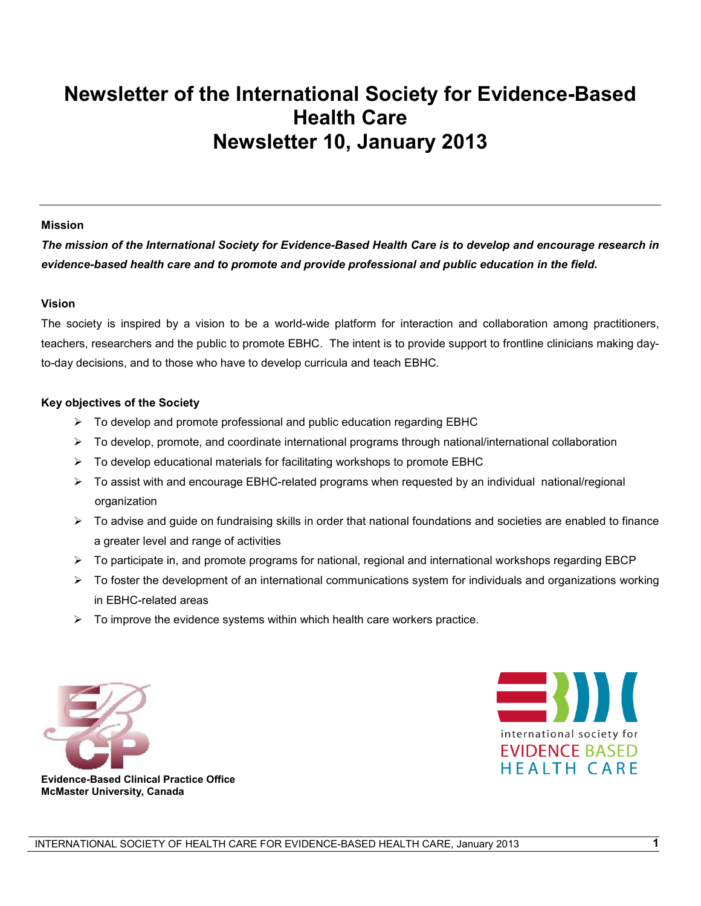# **Newsletter of the International Society for Evidence-Based Health Care Newsletter 10, January 2013**

#### **Mission**

*The mission of the International Society for Evidence-Based Health Care is to develop and encourage research in evidence-based health care and to promote and provide professional and public education in the field.*

#### **Vision**

The society is inspired by a vision to be a world-wide platform for interaction and collaboration among practitioners, teachers, researchers and the public to promote EBHC. The intent is to provide support to frontline clinicians making dayto-day decisions, and to those who have to develop curricula and teach EBHC.

#### **Key objectives of the Society**

- $\triangleright$  To develop and promote professional and public education regarding EBHC
- $\triangleright$  To develop, promote, and coordinate international programs through national/international collaboration
- $\triangleright$  To develop educational materials for facilitating workshops to promote EBHC
- ¾ To assist with and encourage EBHC-related programs when requested by an individual national/regional organization
- $\triangleright$  To advise and guide on fundraising skills in order that national foundations and societies are enabled to finance a greater level and range of activities
- ¾ To participate in, and promote programs for national, regional and international workshops regarding EBCP
- $\triangleright$  To foster the development of an international communications system for individuals and organizations working in EBHC-related areas
- $\triangleright$  To improve the evidence systems within which health care workers practice.





**Evidence-Based Clinical Practice Office McMaster University, Canada**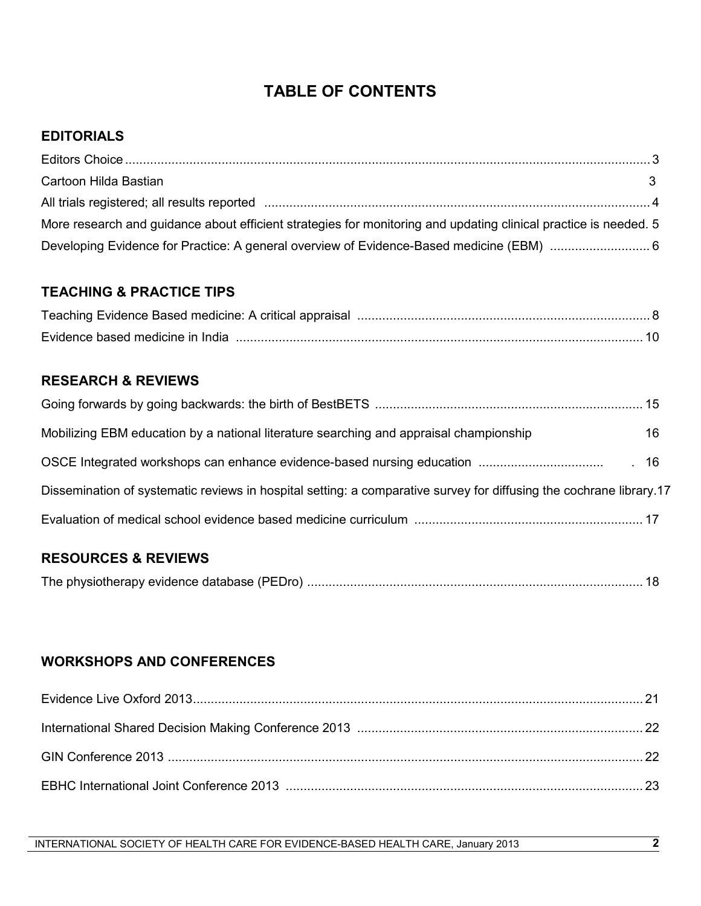# **TABLE OF CONTENTS**

# **EDITORIALS**

| Cartoon Hilda Bastian                                                                                            |  |
|------------------------------------------------------------------------------------------------------------------|--|
| All trials registered; all results reported measurements contained a substitution of the set of the set of the   |  |
| More research and guidance about efficient strategies for monitoring and updating clinical practice is needed. 5 |  |
|                                                                                                                  |  |

# **TEACHING & PRACTICE TIPS**

# **RESEARCH & REVIEWS**

| Mobilizing EBM education by a national literature searching and appraisal championship                              | 16 |
|---------------------------------------------------------------------------------------------------------------------|----|
|                                                                                                                     |    |
| Dissemination of systematic reviews in hospital setting: a comparative survey for diffusing the cochrane library.17 |    |
|                                                                                                                     |    |

# **RESOURCES & REVIEWS**

|--|--|--|

# **WORKSHOPS AND CONFERENCES**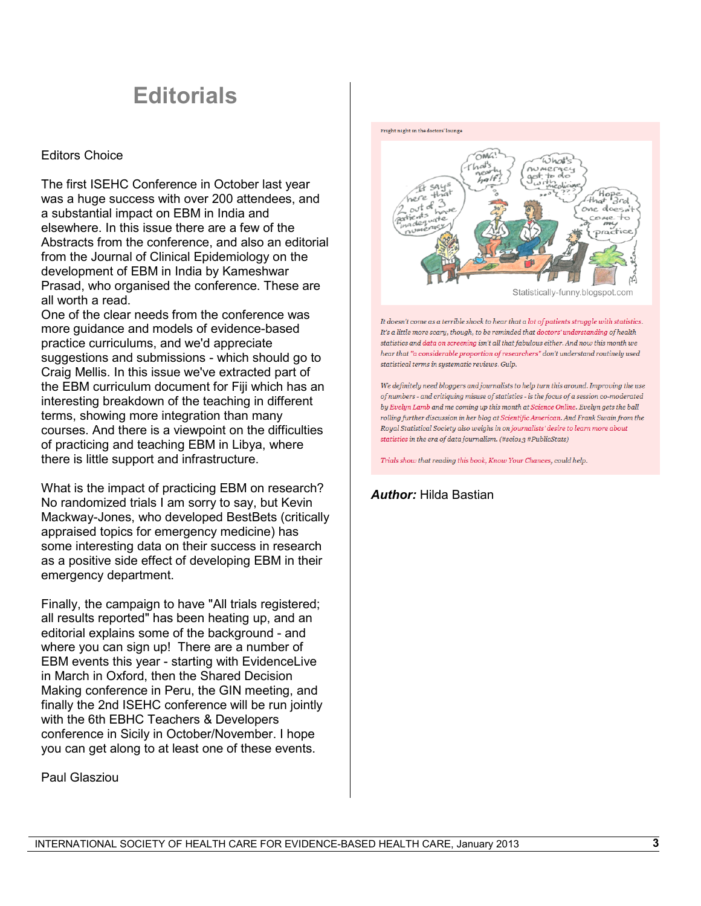# **Editorials**

#### Editors Choice

The first ISEHC Conference in October last year was a huge success with over 200 attendees, and a substantial impact on EBM in India and elsewhere. In this issue there are a few of the Abstracts from the conference, and also an editorial from the Journal of Clinical Epidemiology on the development of EBM in India by Kameshwar Prasad, who organised the conference. These are all worth a read.

One of the clear needs from the conference was more guidance and models of evidence-based practice curriculums, and we'd appreciate suggestions and submissions - which should go to Craig Mellis. In this issue we've extracted part of the EBM curriculum document for Fiji which has an interesting breakdown of the teaching in different terms, showing more integration than many courses. And there is a viewpoint on the difficulties of practicing and teaching EBM in Libya, where there is little support and infrastructure.

What is the impact of practicing EBM on research? No randomized trials I am sorry to say, but Kevin Mackway-Jones, who developed BestBets (critically appraised topics for emergency medicine) has some interesting data on their success in research as a positive side effect of developing EBM in their emergency department.

Finally, the campaign to have "All trials registered; all results reported" has been heating up, and an editorial explains some of the background - and where you can sign up! There are a number of EBM events this year - starting with EvidenceLive in March in Oxford, then the Shared Decision Making conference in Peru, the GIN meeting, and finally the 2nd ISEHC conference will be run jointly with the 6th EBHC Teachers & Developers conference in Sicily in October/November. I hope you can get along to at least one of these events.

Paul Glasziou



It doesn't come as a terrible shock to hear that a lot of patients struggle with statistics. It's a little more scary, though, to be reminded that doctors' understanding of health statistics and data on screening isn't all that fabulous either. And now this month we hear that "a considerable proportion of researchers" don't understand routinely used statistical terms in systematic reviews. Gulp.

We definitely need bloggers and journalists to help turn this around. Improving the use of numbers - and critiquing misuse of statistics - is the focus of a session co-moderated by Evelyn Lamb and me coming up this month at Science Online. Evelyn gets the ball rolling further discussion in her blog at Scientific American. And Frank Swain from the Royal Statistical Society also weighs in on journalists' desire to learn more about statistics in the era of data journalism. (#scio13 #PublicStats)

Trials show that reading this book, Know Your Chances, could help.

*Author:* Hilda Bastian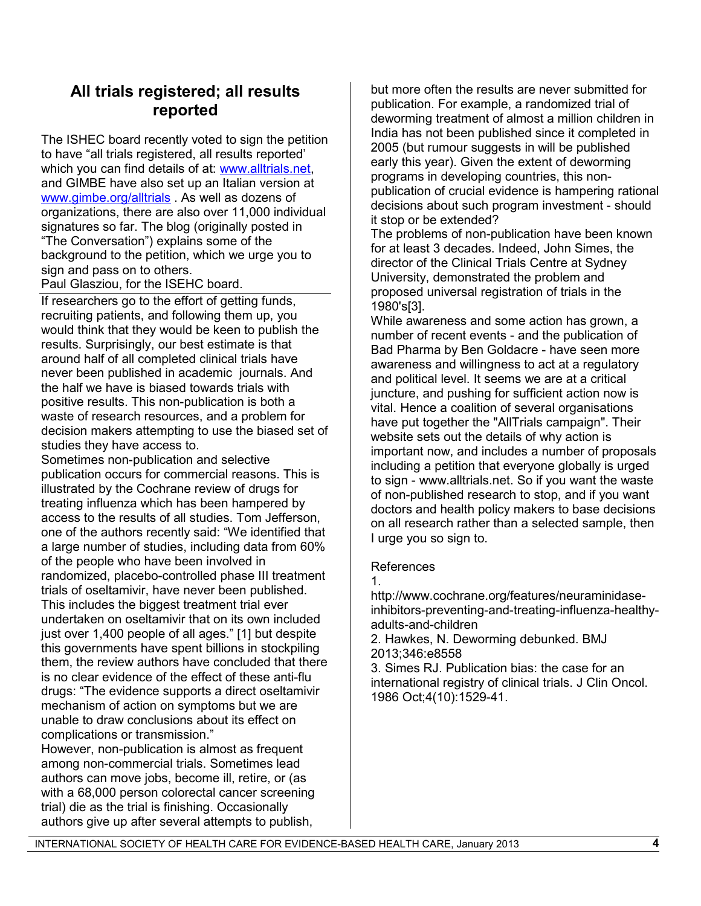# **All trials registered; all results reported**

The ISHEC board recently voted to sign the petition to have "all trials registered, all results reported' which you can find details of at: [www.alltrials.net,](http://www.alltrials.net/) and GIMBE have also set up an Italian version at [www.gimbe.org/alltrials](http://www.gimbe.org/alltrials) . As well as dozens of organizations, there are also over 11,000 individual signatures so far. The blog (originally posted in "The Conversation") explains some of the background to the petition, which we urge you to sign and pass on to others.

Paul Glasziou, for the ISEHC board.

If researchers go to the effort of getting funds, recruiting patients, and following them up, you would think that they would be keen to publish the results. Surprisingly, our best estimate is that around half of all completed clinical trials have never been published in academic journals. And the half we have is biased towards trials with positive results. This non-publication is both a waste of research resources, and a problem for decision makers attempting to use the biased set of studies they have access to.

Sometimes non-publication and selective publication occurs for commercial reasons. This is illustrated by the Cochrane review of drugs for treating influenza which has been hampered by access to the results of all studies. Tom Jefferson, one of the authors recently said: "We identified that a large number of studies, including data from 60% of the people who have been involved in randomized, placebo-controlled phase III treatment trials of oseltamivir, have never been published. This includes the biggest treatment trial ever undertaken on oseltamivir that on its own included just over 1,400 people of all ages." [1] but despite this governments have spent billions in stockpiling them, the review authors have concluded that there is no clear evidence of the effect of these anti-flu drugs: "The evidence supports a direct oseltamivir mechanism of action on symptoms but we are unable to draw conclusions about its effect on complications or transmission."

However, non-publication is almost as frequent among non-commercial trials. Sometimes lead authors can move jobs, become ill, retire, or (as with a 68,000 person colorectal cancer screening trial) die as the trial is finishing. Occasionally authors give up after several attempts to publish,

but more often the results are never submitted for publication. For example, a randomized trial of deworming treatment of almost a million children in India has not been published since it completed in 2005 (but rumour suggests in will be published early this year). Given the extent of deworming programs in developing countries, this nonpublication of crucial evidence is hampering rational decisions about such program investment - should it stop or be extended?

The problems of non-publication have been known for at least 3 decades. Indeed, John Simes, the director of the Clinical Trials Centre at Sydney University, demonstrated the problem and proposed universal registration of trials in the 1980's[3].

While awareness and some action has grown, a number of recent events - and the publication of Bad Pharma by Ben Goldacre - have seen more awareness and willingness to act at a regulatory and political level. It seems we are at a critical juncture, and pushing for sufficient action now is vital. Hence a coalition of several organisations have put together the "AllTrials campaign". Their website sets out the details of why action is important now, and includes a number of proposals including a petition that everyone globally is urged to sign - www.alltrials.net. So if you want the waste of non-published research to stop, and if you want doctors and health policy makers to base decisions on all research rather than a selected sample, then I urge you so sign to.

#### References

1.

http://www.cochrane.org/features/neuraminidaseinhibitors-preventing-and-treating-influenza-healthyadults-and-children

2. Hawkes, N. Deworming debunked. BMJ 2013;346:e8558

3. Simes RJ. Publication bias: the case for an international registry of clinical trials. J Clin Oncol. 1986 Oct;4(10):1529-41.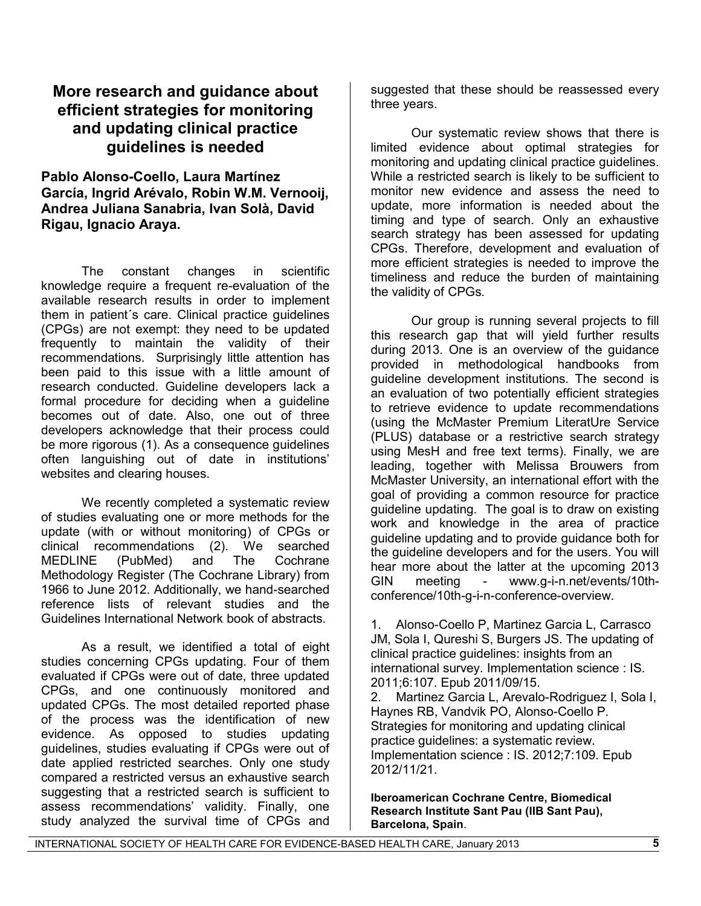# **More research and guidance about efficient strategies for monitoring and updating clinical practice guidelines is needed**

**Pablo Alonso-Coello, Laura Martínez García, Ingrid Arévalo, Robin W.M. Vernooij, Andrea Juliana Sanabria, Ivan Solà, David Rigau, Ignacio Araya.**

The constant changes in scientific knowledge require a frequent re-evaluation of the available research results in order to implement them in patient´s care. Clinical practice guidelines (CPGs) are not exempt: they need to be updated frequently to maintain the validity of their recommendations. Surprisingly little attention has been paid to this issue with a little amount of research conducted. Guideline developers lack a formal procedure for deciding when a guideline becomes out of date. Also, one out of three developers acknowledge that their process could be more rigorous [\(1\)](#page-4-0). As a consequence guidelines often languishing out of date in institutions' websites and clearing houses.

We recently completed a systematic review of studies evaluating one or more methods for the update (with or without monitoring) of CPGs or clinical recommendations [\(2\)](#page-4-1). We searched MEDLINE (PubMed) and The Cochrane Methodology Register (The Cochrane Library) from 1966 to June 2012. Additionally, we hand-searched reference lists of relevant studies and the Guidelines International Network book of abstracts.

As a result, we identified a total of eight studies concerning CPGs updating. Four of them evaluated if CPGs were out of date, three updated CPGs, and one continuously monitored and updated CPGs. The most detailed reported phase of the process was the identification of new evidence. As opposed to studies updating guidelines, studies evaluating if CPGs were out of date applied restricted searches. Only one study compared a restricted versus an exhaustive search suggesting that a restricted search is sufficient to assess recommendations' validity. Finally, one study analyzed the survival time of CPGs and

suggested that these should be reassessed every three years.

Our systematic review shows that there is limited evidence about optimal strategies for monitoring and updating clinical practice guidelines. While a restricted search is likely to be sufficient to monitor new evidence and assess the need to update, more information is needed about the timing and type of search. Only an exhaustive search strategy has been assessed for updating CPGs. Therefore, development and evaluation of more efficient strategies is needed to improve the timeliness and reduce the burden of maintaining the validity of CPGs.

Our group is running several projects to fill this research gap that will yield further results during 2013. One is an overview of the guidance provided in methodological handbooks from guideline development institutions. The second is an evaluation of two potentially efficient strategies to retrieve evidence to update recommendations (using the McMaster Premium LiteratUre Service (PLUS) database or a restrictive search strategy using MesH and free text terms). Finally, we are leading, together with Melissa Brouwers from McMaster University, an international effort with the goal of providing a common resource for practice guideline updating. The goal is to draw on existing work and knowledge in the area of practice guideline updating and to provide guidance both for the guideline developers and for the users. You will hear more about the latter at the upcoming 2013 GIN meeting - www.g-i-n.net/events/10thconference/10th-g-i-n-conference-overview.

<span id="page-4-0"></span>1. Alonso-Coello P, Martinez Garcia L, Carrasco JM, Sola I, Qureshi S, Burgers JS. The updating of clinical practice guidelines: insights from an international survey. Implementation science : IS. 2011;6:107. Epub 2011/09/15.

<span id="page-4-1"></span>2. Martinez Garcia L, Arevalo-Rodriguez I, Sola I, Haynes RB, Vandvik PO, Alonso-Coello P. Strategies for monitoring and updating clinical practice guidelines: a systematic review. Implementation science : IS. 2012;7:109. Epub 2012/11/21.

**Iberoamerican Cochrane Centre, Biomedical Research Institute Sant Pau (IIB Sant Pau), Barcelona, Spain**.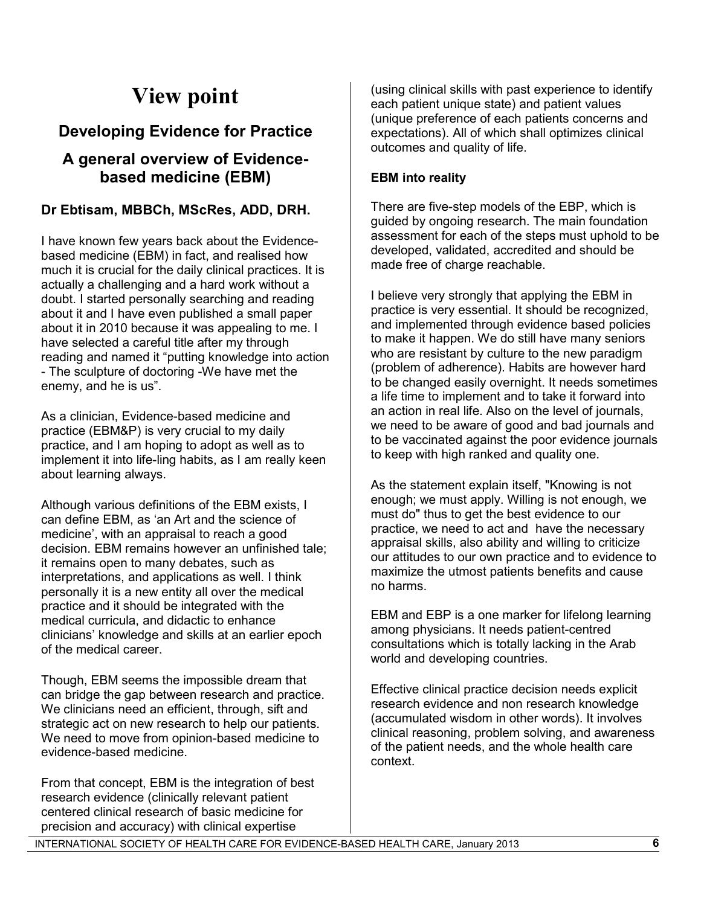# **View point**

# **Developing Evidence for Practice**

# **A general overview of Evidencebased medicine (EBM)**

# **Dr Ebtisam, MBBCh, MScRes, ADD, DRH.**

I have known few years back about the Evidencebased medicine (EBM) in fact, and realised how much it is crucial for the daily clinical practices. It is actually a challenging and a hard work without a doubt. I started personally searching and reading about it and I have even published a small paper about it in 2010 because it was appealing to me. I have selected a careful title after my through reading and named it "putting knowledge into action - The sculpture of doctoring -We have met the enemy, and he is us".

As a clinician, Evidence-based medicine and practice (EBM&P) is very crucial to my daily practice, and I am hoping to adopt as well as to implement it into life-ling habits, as I am really keen about learning always.

Although various definitions of the EBM exists, I can define EBM, as 'an Art and the science of medicine', with an appraisal to reach a good decision. EBM remains however an unfinished tale; it remains open to many debates, such as interpretations, and applications as well. I think personally it is a new entity all over the medical practice and it should be integrated with the medical curricula, and didactic to enhance clinicians' knowledge and skills at an earlier epoch of the medical career.

Though, EBM seems the impossible dream that can bridge the gap between research and practice. We clinicians need an efficient, through, sift and strategic act on new research to help our patients. We need to move from opinion-based medicine to evidence-based medicine.

From that concept, EBM is the integration of best research evidence (clinically relevant patient centered clinical research of basic medicine for precision and accuracy) with clinical expertise

(using clinical skills with past experience to identify each patient unique state) and patient values (unique preference of each patients concerns and expectations). All of which shall optimizes clinical outcomes and quality of life.

## **EBM into reality**

There are five-step models of the EBP, which is guided by ongoing research. The main foundation assessment for each of the steps must uphold to be developed, validated, accredited and should be made free of charge reachable.

I believe very strongly that applying the EBM in practice is very essential. It should be recognized, and implemented through evidence based policies to make it happen. We do still have many seniors who are resistant by culture to the new paradigm (problem of adherence). Habits are however hard to be changed easily overnight. It needs sometimes a life time to implement and to take it forward into an action in real life. Also on the level of journals, we need to be aware of good and bad journals and to be vaccinated against the poor evidence journals to keep with high ranked and quality one.

As the statement explain itself, "Knowing is not enough; we must apply. Willing is not enough, we must do" thus to get the best evidence to our practice, we need to act and have the necessary appraisal skills, also ability and willing to criticize our attitudes to our own practice and to evidence to maximize the utmost patients benefits and cause no harms.

EBM and EBP is a one marker for lifelong learning among physicians. It needs patient-centred consultations which is totally lacking in the Arab world and developing countries.

Effective clinical practice decision needs explicit research evidence and non research knowledge (accumulated wisdom in other words). It involves clinical reasoning, problem solving, and awareness of the patient needs, and the whole health care context.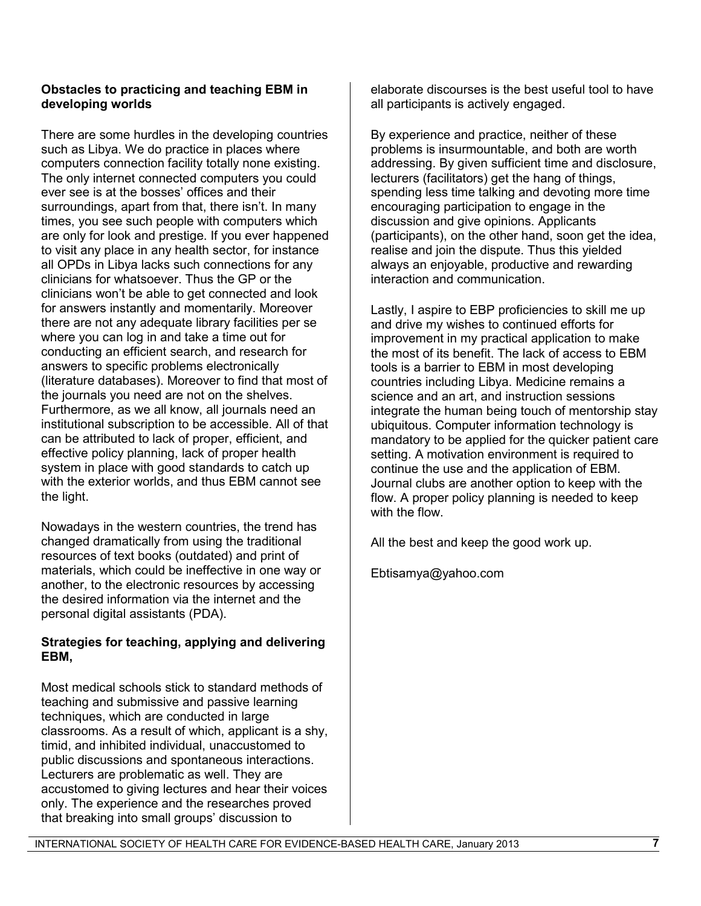## **Obstacles to practicing and teaching EBM in developing worlds**

There are some hurdles in the developing countries such as Libya. We do practice in places where computers connection facility totally none existing. The only internet connected computers you could ever see is at the bosses' offices and their surroundings, apart from that, there isn't. In many times, you see such people with computers which are only for look and prestige. If you ever happened to visit any place in any health sector, for instance all OPDs in Libya lacks such connections for any clinicians for whatsoever. Thus the GP or the clinicians won't be able to get connected and look for answers instantly and momentarily. Moreover there are not any adequate library facilities per se where you can log in and take a time out for conducting an efficient search, and research for answers to specific problems electronically (literature databases). Moreover to find that most of the journals you need are not on the shelves. Furthermore, as we all know, all journals need an institutional subscription to be accessible. All of that can be attributed to lack of proper, efficient, and effective policy planning, lack of proper health system in place with good standards to catch up with the exterior worlds, and thus EBM cannot see the light.

Nowadays in the western countries, the trend has changed dramatically from using the traditional resources of text books (outdated) and print of materials, which could be ineffective in one way or another, to the electronic resources by accessing the desired information via the internet and the personal digital assistants (PDA).

## **Strategies for teaching, applying and delivering EBM,**

Most medical schools stick to standard methods of teaching and submissive and passive learning techniques, which are conducted in large classrooms. As a result of which, applicant is a shy, timid, and inhibited individual, unaccustomed to public discussions and spontaneous interactions. Lecturers are problematic as well. They are accustomed to giving lectures and hear their voices only. The experience and the researches proved that breaking into small groups' discussion to

elaborate discourses is the best useful tool to have all participants is actively engaged.

By experience and practice, neither of these problems is insurmountable, and both are worth addressing. By given sufficient time and disclosure, lecturers (facilitators) get the hang of things, spending less time talking and devoting more time encouraging participation to engage in the discussion and give opinions. Applicants (participants), on the other hand, soon get the idea, realise and join the dispute. Thus this yielded always an enjoyable, productive and rewarding interaction and communication.

Lastly, I aspire to EBP proficiencies to skill me up and drive my wishes to continued efforts for improvement in my practical application to make the most of its benefit. The lack of access to EBM tools is a barrier to EBM in most developing countries including Libya. Medicine remains a science and an art, and instruction sessions integrate the human being touch of mentorship stay ubiquitous. Computer information technology is mandatory to be applied for the quicker patient care setting. A motivation environment is required to continue the use and the application of EBM. Journal clubs are another option to keep with the flow. A proper policy planning is needed to keep with the flow.

All the best and keep the good work up.

Ebtisamya@yahoo.com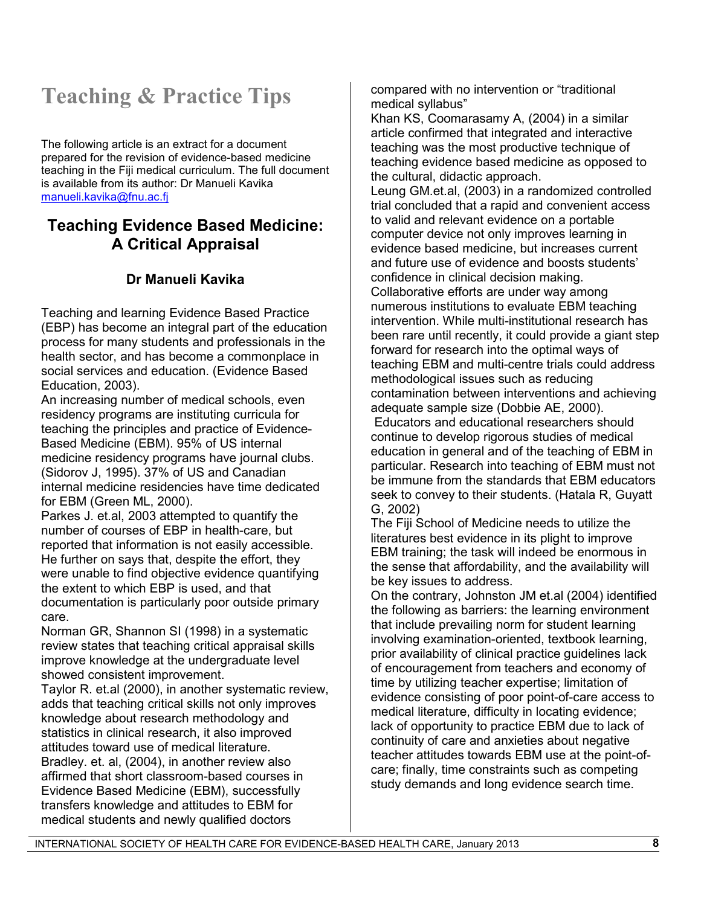# **Teaching & Practice Tips**

The following article is an extract for a document prepared for the revision of evidence-based medicine teaching in the Fiji medical curriculum. The full document is available from its author: Dr Manueli Kavika [manueli.kavika@fnu.ac.fj](mailto:manueli.kavika@fnu.ac.fj)

# **Teaching Evidence Based Medicine: A Critical Appraisal**

# **Dr Manueli Kavika**

Teaching and learning Evidence Based Practice (EBP) has become an integral part of the education process for many students and professionals in the health sector, and has become a commonplace in social services and education. (Evidence Based Education, 2003).

An increasing number of medical schools, even residency programs are instituting curricula for teaching the principles and practice of Evidence-Based Medicine (EBM). 95% of US internal medicine residency programs have journal clubs. (Sidorov J, 1995). 37% of US and Canadian internal medicine residencies have time dedicated for EBM (Green ML, 2000).

Parkes J. et.al, 2003 attempted to quantify the number of courses of EBP in health-care, but reported that information is not easily accessible. He further on says that, despite the effort, they were unable to find objective evidence quantifying the extent to which EBP is used, and that documentation is particularly poor outside primary care.

Norman GR, Shannon SI (1998) in a systematic review states that teaching critical appraisal skills improve knowledge at the undergraduate level showed consistent improvement.

Taylor R. et.al (2000), in another systematic review, adds that teaching critical skills not only improves knowledge about research methodology and statistics in clinical research, it also improved attitudes toward use of medical literature. Bradley. et. al, (2004), in another review also affirmed that short classroom-based courses in Evidence Based Medicine (EBM), successfully transfers knowledge and attitudes to EBM for medical students and newly qualified doctors

compared with no intervention or "traditional medical syllabus"

Khan KS, Coomarasamy A, (2004) in a similar article confirmed that integrated and interactive teaching was the most productive technique of teaching evidence based medicine as opposed to the cultural, didactic approach.

Leung GM.et.al, (2003) in a randomized controlled trial concluded that a rapid and convenient access to valid and relevant evidence on a portable computer device not only improves learning in evidence based medicine, but increases current and future use of evidence and boosts students' confidence in clinical decision making. Collaborative efforts are under way among numerous institutions to evaluate EBM teaching intervention. While multi-institutional research has been rare until recently, it could provide a giant step forward for research into the optimal ways of teaching EBM and multi-centre trials could address methodological issues such as reducing contamination between interventions and achieving adequate sample size (Dobbie AE, 2000).

Educators and educational researchers should continue to develop rigorous studies of medical education in general and of the teaching of EBM in particular. Research into teaching of EBM must not be immune from the standards that EBM educators seek to convey to their students. (Hatala R, Guyatt G, 2002)

The Fiji School of Medicine needs to utilize the literatures best evidence in its plight to improve EBM training; the task will indeed be enormous in the sense that affordability, and the availability will be key issues to address.

On the contrary, Johnston JM et.al (2004) identified the following as barriers: the learning environment that include prevailing norm for student learning involving examination-oriented, textbook learning, prior availability of clinical practice guidelines lack of encouragement from teachers and economy of time by utilizing teacher expertise; limitation of evidence consisting of poor point-of-care access to medical literature, difficulty in locating evidence; lack of opportunity to practice EBM due to lack of continuity of care and anxieties about negative teacher attitudes towards EBM use at the point-ofcare; finally, time constraints such as competing study demands and long evidence search time.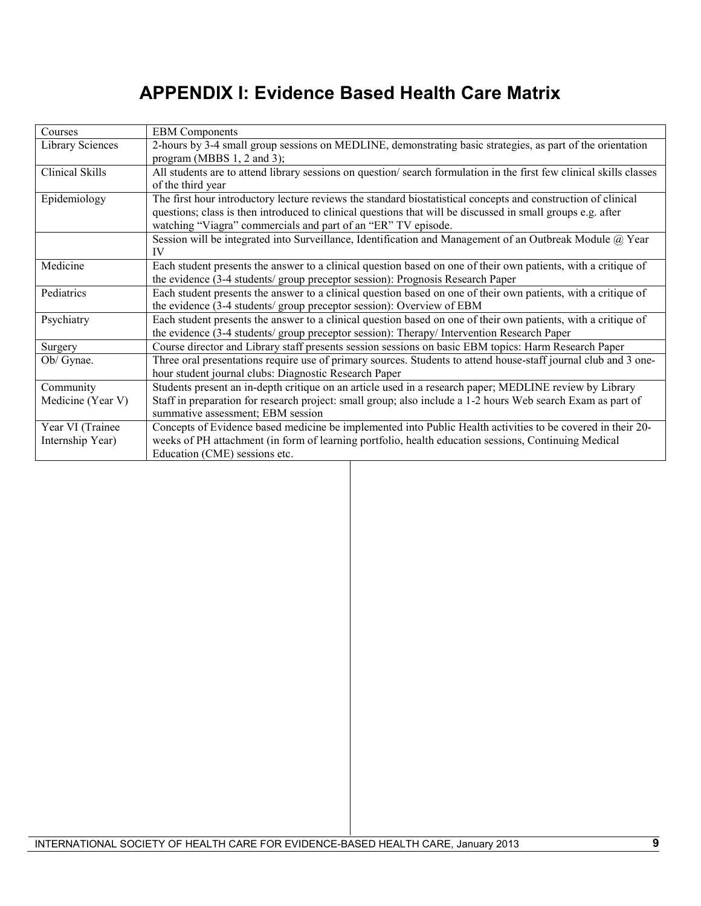# **APPENDIX I: Evidence Based Health Care Matrix**

| Courses                 | <b>EBM</b> Components                                                                                               |  |  |
|-------------------------|---------------------------------------------------------------------------------------------------------------------|--|--|
| <b>Library Sciences</b> | 2-hours by 3-4 small group sessions on MEDLINE, demonstrating basic strategies, as part of the orientation          |  |  |
|                         | program (MBBS $1, 2$ and $3$ );                                                                                     |  |  |
| Clinical Skills         | All students are to attend library sessions on question/search formulation in the first few clinical skills classes |  |  |
|                         | of the third year                                                                                                   |  |  |
| Epidemiology            | The first hour introductory lecture reviews the standard biostatistical concepts and construction of clinical       |  |  |
|                         | questions; class is then introduced to clinical questions that will be discussed in small groups e.g. after         |  |  |
|                         | watching "Viagra" commercials and part of an "ER" TV episode.                                                       |  |  |
|                         | Session will be integrated into Surveillance, Identification and Management of an Outbreak Module @ Year            |  |  |
|                         | IV                                                                                                                  |  |  |
| Medicine                | Each student presents the answer to a clinical question based on one of their own patients, with a critique of      |  |  |
|                         | the evidence (3-4 students/ group preceptor session): Prognosis Research Paper                                      |  |  |
| Pediatrics              | Each student presents the answer to a clinical question based on one of their own patients, with a critique of      |  |  |
|                         | the evidence (3-4 students/ group preceptor session): Overview of EBM                                               |  |  |
| Psychiatry              | Each student presents the answer to a clinical question based on one of their own patients, with a critique of      |  |  |
|                         | the evidence (3-4 students/ group preceptor session): Therapy/ Intervention Research Paper                          |  |  |
| Surgery                 | Course director and Library staff presents session sessions on basic EBM topics: Harm Research Paper                |  |  |
| Ob/ Gynae.              | Three oral presentations require use of primary sources. Students to attend house-staff journal club and 3 one-     |  |  |
|                         | hour student journal clubs: Diagnostic Research Paper                                                               |  |  |
| Community               | Students present an in-depth critique on an article used in a research paper; MEDLINE review by Library             |  |  |
| Medicine (Year V)       | Staff in preparation for research project: small group; also include a 1-2 hours Web search Exam as part of         |  |  |
|                         | summative assessment; EBM session                                                                                   |  |  |
| Year VI (Trainee        | Concepts of Evidence based medicine be implemented into Public Health activities to be covered in their 20-         |  |  |
| Internship Year)        | weeks of PH attachment (in form of learning portfolio, health education sessions, Continuing Medical                |  |  |
|                         | Education (CME) sessions etc.                                                                                       |  |  |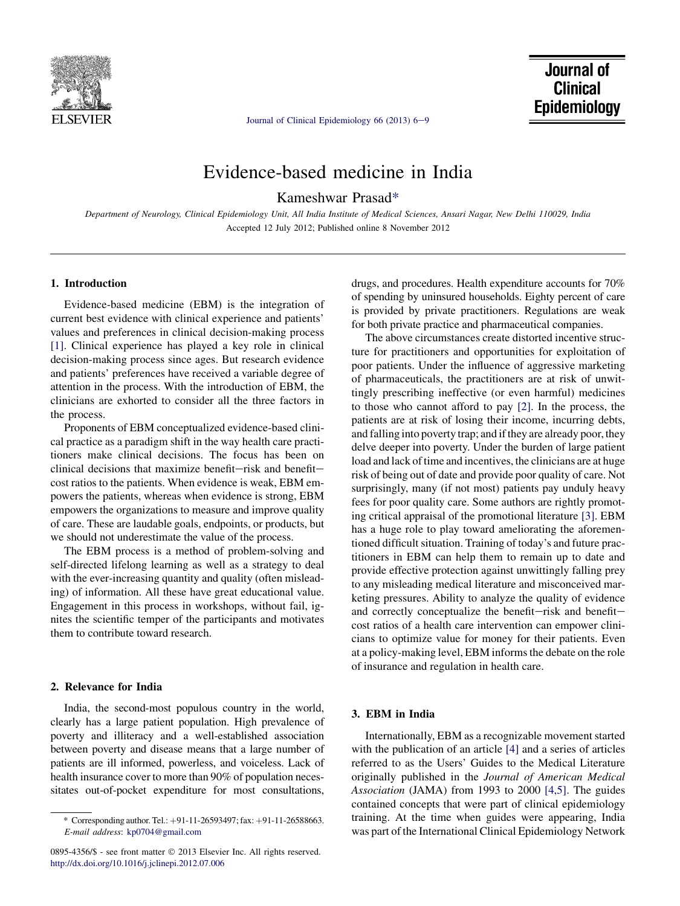

[Journal of Clinical Epidemiology 66 \(2013\) 6](http://dx.doi.org/10.1016/j.jclinepi.2012.07.006)-9

# Evidence-based medicine in India

Kameshwar Prasad\*

Department of Neurology, Clinical Epidemiology Unit, All India Institute of Medical Sciences, Ansari Nagar, New Delhi 110029, India Accepted 12 July 2012; Published online 8 November 2012

#### 1. Introduction

Evidence-based medicine (EBM) is the integration of current best evidence with clinical experience and patients' values and preferences in clinical decision-making process [\[1\].](#page-12-0) Clinical experience has played a key role in clinical decision-making process since ages. But research evidence and patients' preferences have received a variable degree of attention in the process. With the introduction of EBM, the clinicians are exhorted to consider all the three factors in the process.

Proponents of EBM conceptualized evidence-based clinical practice as a paradigm shift in the way health care practitioners make clinical decisions. The focus has been on clinical decisions that maximize benefit-risk and benefitcost ratios to the patients. When evidence is weak, EBM empowers the patients, whereas when evidence is strong, EBM empowers the organizations to measure and improve quality of care. These are laudable goals, endpoints, or products, but we should not underestimate the value of the process.

The EBM process is a method of problem-solving and self-directed lifelong learning as well as a strategy to deal with the ever-increasing quantity and quality (often misleading) of information. All these have great educational value. Engagement in this process in workshops, without fail, ignites the scientific temper of the participants and motivates them to contribute toward research.

#### 2. Relevance for India

India, the second-most populous country in the world, clearly has a large patient population. High prevalence of poverty and illiteracy and a well-established association between poverty and disease means that a large number of patients are ill informed, powerless, and voiceless. Lack of health insurance cover to more than 90% of population necessitates out-of-pocket expenditure for most consultations,

drugs, and procedures. Health expenditure accounts for 70% of spending by uninsured households. Eighty percent of care is provided by private practitioners. Regulations are weak for both private practice and pharmaceutical companies.

The above circumstances create distorted incentive structure for practitioners and opportunities for exploitation of poor patients. Under the influence of aggressive marketing of pharmaceuticals, the practitioners are at risk of unwittingly prescribing ineffective (or even harmful) medicines to those who cannot afford to pay [\[2\].](#page-12-0) In the process, the patients are at risk of losing their income, incurring debts, and falling into poverty trap; and if they are already poor, they delve deeper into poverty. Under the burden of large patient load and lack of time and incentives, the clinicians are at huge risk of being out of date and provide poor quality of care. Not surprisingly, many (if not most) patients pay unduly heavy fees for poor quality care. Some authors are rightly promoting critical appraisal of the promotional literature [\[3\].](#page-12-0) EBM has a huge role to play toward ameliorating the aforementioned difficult situation. Training of today's and future practitioners in EBM can help them to remain up to date and provide effective protection against unwittingly falling prey to any misleading medical literature and misconceived marketing pressures. Ability to analyze the quality of evidence and correctly conceptualize the benefit-risk and benefitcost ratios of a health care intervention can empower clinicians to optimize value for money for their patients. Even at a policy-making level, EBM informs the debate on the role of insurance and regulation in health care.

#### 3. EBM in India

Internationally, EBM as a recognizable movement started with the publication of an article [\[4\]](#page-12-0) and a series of articles referred to as the Users' Guides to the Medical Literature originally published in the Journal of American Medical Association (JAMA) from 1993 to 2000 [\[4,5\].](#page-12-0) The guides contained concepts that were part of clinical epidemiology training. At the time when guides were appearing, India was part of the International Clinical Epidemiology Network

<sup>\*</sup> Corresponding author. Tel.:  $+91-11-26593497$ ; fax:  $+91-11-26588663$ . E-mail address: [kp0704@gmail.com](mailto:kp0704@gmail.com)

<sup>0895-4356/\$ -</sup> see front matter  $@$  2013 Elsevier Inc. All rights reserved. <http://dx.doi.org/10.1016/j.jclinepi.2012.07.006>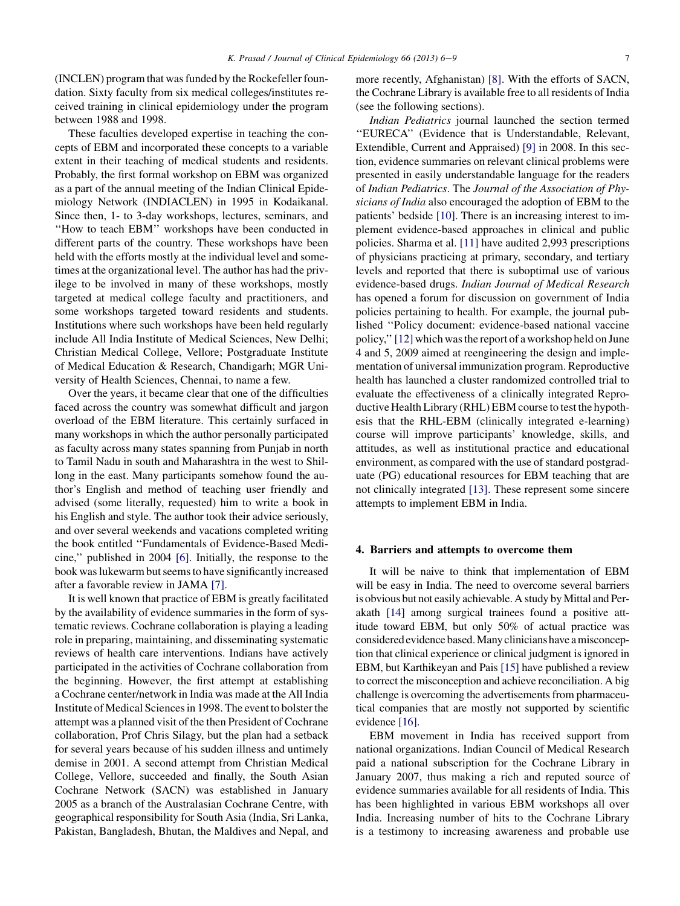(INCLEN) program that was funded by the Rockefeller foundation. Sixty faculty from six medical colleges/institutes received training in clinical epidemiology under the program between 1988 and 1998.

These faculties developed expertise in teaching the concepts of EBM and incorporated these concepts to a variable extent in their teaching of medical students and residents. Probably, the first formal workshop on EBM was organized as a part of the annual meeting of the Indian Clinical Epidemiology Network (INDIACLEN) in 1995 in Kodaikanal. Since then, 1- to 3-day workshops, lectures, seminars, and ''How to teach EBM'' workshops have been conducted in different parts of the country. These workshops have been held with the efforts mostly at the individual level and sometimes at the organizational level. The author has had the privilege to be involved in many of these workshops, mostly targeted at medical college faculty and practitioners, and some workshops targeted toward residents and students. Institutions where such workshops have been held regularly include All India Institute of Medical Sciences, New Delhi; Christian Medical College, Vellore; Postgraduate Institute of Medical Education & Research, Chandigarh; MGR University of Health Sciences, Chennai, to name a few.

Over the years, it became clear that one of the difficulties faced across the country was somewhat difficult and jargon overload of the EBM literature. This certainly surfaced in many workshops in which the author personally participated as faculty across many states spanning from Punjab in north to Tamil Nadu in south and Maharashtra in the west to Shillong in the east. Many participants somehow found the author's English and method of teaching user friendly and advised (some literally, requested) him to write a book in his English and style. The author took their advice seriously, and over several weekends and vacations completed writing the book entitled ''Fundamentals of Evidence-Based Medicine,'' published in 2004 [\[6\]](#page-12-0). Initially, the response to the book was lukewarm but seems to have significantly increased after a favorable review in JAMA [\[7\]](#page-12-0).

It is well known that practice of EBM is greatly facilitated by the availability of evidence summaries in the form of systematic reviews. Cochrane collaboration is playing a leading role in preparing, maintaining, and disseminating systematic reviews of health care interventions. Indians have actively participated in the activities of Cochrane collaboration from the beginning. However, the first attempt at establishing a Cochrane center/network in India was made at the All India Institute of Medical Sciences in 1998. The event to bolster the attempt was a planned visit of the then President of Cochrane collaboration, Prof Chris Silagy, but the plan had a setback for several years because of his sudden illness and untimely demise in 2001. A second attempt from Christian Medical College, Vellore, succeeded and finally, the South Asian Cochrane Network (SACN) was established in January 2005 as a branch of the Australasian Cochrane Centre, with geographical responsibility for South Asia (India, Sri Lanka, Pakistan, Bangladesh, Bhutan, the Maldives and Nepal, and more recently, Afghanistan) [\[8\]](#page-12-0). With the efforts of SACN, the Cochrane Library is available free to all residents of India (see the following sections).

Indian Pediatrics journal launched the section termed "EURECA" (Evidence that is Understandable, Relevant, Extendible, Current and Appraised) [\[9\]](#page-12-0) in 2008. In this section, evidence summaries on relevant clinical problems were presented in easily understandable language for the readers of Indian Pediatrics. The Journal of the Association of Physicians of India also encouraged the adoption of EBM to the patients' bedside [\[10\].](#page-12-0) There is an increasing interest to implement evidence-based approaches in clinical and public policies. Sharma et al. [\[11\]](#page-12-0) have audited 2,993 prescriptions of physicians practicing at primary, secondary, and tertiary levels and reported that there is suboptimal use of various evidence-based drugs. Indian Journal of Medical Research has opened a forum for discussion on government of India policies pertaining to health. For example, the journal published ''Policy document: evidence-based national vaccine policy,''[\[12\]](#page-12-0) which was the report of a workshop held on June 4 and 5, 2009 aimed at reengineering the design and implementation of universal immunization program. Reproductive health has launched a cluster randomized controlled trial to evaluate the effectiveness of a clinically integrated Reproductive Health Library (RHL) EBM course to test the hypothesis that the RHL-EBM (clinically integrated e-learning) course will improve participants' knowledge, skills, and attitudes, as well as institutional practice and educational environment, as compared with the use of standard postgraduate (PG) educational resources for EBM teaching that are not clinically integrated [\[13\]](#page-12-0). These represent some sincere attempts to implement EBM in India.

#### 4. Barriers and attempts to overcome them

It will be naive to think that implementation of EBM will be easy in India. The need to overcome several barriers is obvious but not easily achievable. A study by Mittal and Perakath [\[14\]](#page-12-0) among surgical trainees found a positive attitude toward EBM, but only 50% of actual practice was considered evidence based.Many clinicians have amisconception that clinical experience or clinical judgment is ignored in EBM, but Karthikeyan and Pais [\[15\]](#page-12-0) have published a review to correct the misconception and achieve reconciliation. A big challenge is overcoming the advertisements from pharmaceutical companies that are mostly not supported by scientific evidence [\[16\]](#page-12-0).

EBM movement in India has received support from national organizations. Indian Council of Medical Research paid a national subscription for the Cochrane Library in January 2007, thus making a rich and reputed source of evidence summaries available for all residents of India. This has been highlighted in various EBM workshops all over India. Increasing number of hits to the Cochrane Library is a testimony to increasing awareness and probable use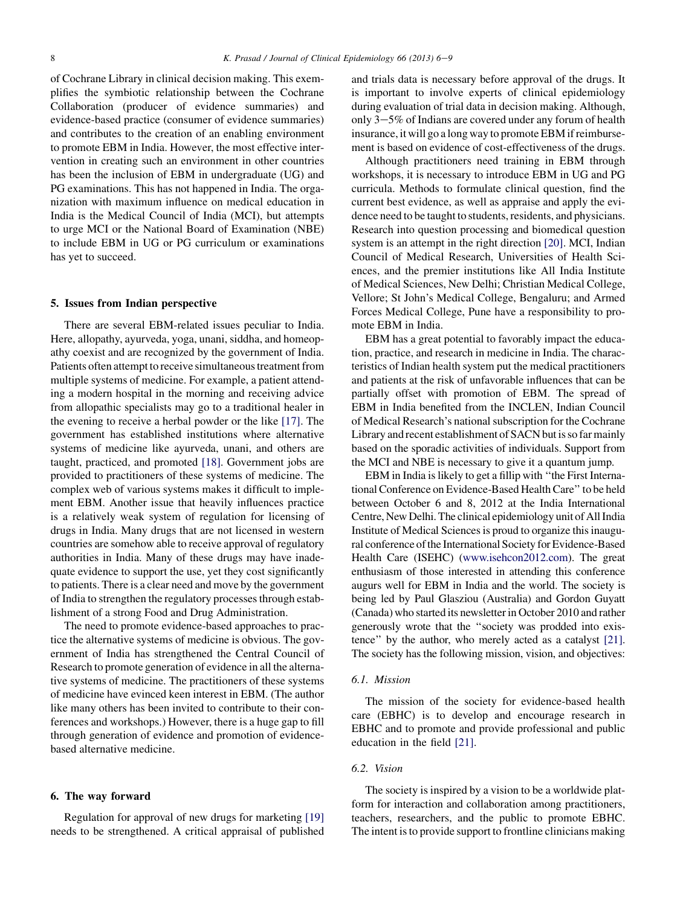of Cochrane Library in clinical decision making. This exemplifies the symbiotic relationship between the Cochrane Collaboration (producer of evidence summaries) and evidence-based practice (consumer of evidence summaries) and contributes to the creation of an enabling environment to promote EBM in India. However, the most effective intervention in creating such an environment in other countries has been the inclusion of EBM in undergraduate (UG) and PG examinations. This has not happened in India. The organization with maximum influence on medical education in India is the Medical Council of India (MCI), but attempts to urge MCI or the National Board of Examination (NBE) to include EBM in UG or PG curriculum or examinations has yet to succeed.

#### 5. Issues from Indian perspective

There are several EBM-related issues peculiar to India. Here, allopathy, ayurveda, yoga, unani, siddha, and homeopathy coexist and are recognized by the government of India. Patients often attempt to receive simultaneous treatment from multiple systems of medicine. For example, a patient attending a modern hospital in the morning and receiving advice from allopathic specialists may go to a traditional healer in the evening to receive a herbal powder or the like [\[17\]](#page-12-0). The government has established institutions where alternative systems of medicine like ayurveda, unani, and others are taught, practiced, and promoted [\[18\].](#page-12-0) Government jobs are provided to practitioners of these systems of medicine. The complex web of various systems makes it difficult to implement EBM. Another issue that heavily influences practice is a relatively weak system of regulation for licensing of drugs in India. Many drugs that are not licensed in western countries are somehow able to receive approval of regulatory authorities in India. Many of these drugs may have inadequate evidence to support the use, yet they cost significantly to patients. There is a clear need and move by the government of India to strengthen the regulatory processes through establishment of a strong Food and Drug Administration.

The need to promote evidence-based approaches to practice the alternative systems of medicine is obvious. The government of India has strengthened the Central Council of Research to promote generation of evidence in all the alternative systems of medicine. The practitioners of these systems of medicine have evinced keen interest in EBM. (The author like many others has been invited to contribute to their conferences and workshops.) However, there is a huge gap to fill through generation of evidence and promotion of evidencebased alternative medicine.

#### 6. The way forward

Regulation for approval of new drugs for marketing [\[19\]](#page-12-0) needs to be strengthened. A critical appraisal of published

and trials data is necessary before approval of the drugs. It is important to involve experts of clinical epidemiology during evaluation of trial data in decision making. Although, only  $3-5\%$  of Indians are covered under any forum of health insurance, it will go a long way to promote EBM if reimbursement is based on evidence of cost-effectiveness of the drugs.

Although practitioners need training in EBM through workshops, it is necessary to introduce EBM in UG and PG curricula. Methods to formulate clinical question, find the current best evidence, as well as appraise and apply the evidence need to be taught to students, residents, and physicians. Research into question processing and biomedical question system is an attempt in the right direction [\[20\].](#page-12-0) MCI, Indian Council of Medical Research, Universities of Health Sciences, and the premier institutions like All India Institute of Medical Sciences, New Delhi; Christian Medical College, Vellore; St John's Medical College, Bengaluru; and Armed Forces Medical College, Pune have a responsibility to promote EBM in India.

EBM has a great potential to favorably impact the education, practice, and research in medicine in India. The characteristics of Indian health system put the medical practitioners and patients at the risk of unfavorable influences that can be partially offset with promotion of EBM. The spread of EBM in India benefited from the INCLEN, Indian Council of Medical Research's national subscription for the Cochrane Library and recent establishment of SACN but is so far mainly based on the sporadic activities of individuals. Support from the MCI and NBE is necessary to give it a quantum jump.

EBM in India is likely to get a fillip with ''the First International Conference on Evidence-Based Health Care'' to be held between October 6 and 8, 2012 at the India International Centre, New Delhi. The clinical epidemiology unit of All India Institute of Medical Sciences is proud to organize this inaugural conference of the International Society for Evidence-Based Health Care (ISEHC) [\(www.isehcon2012.com](http://www.isehcon2012.com)). The great enthusiasm of those interested in attending this conference augurs well for EBM in India and the world. The society is being led by Paul Glasziou (Australia) and Gordon Guyatt (Canada) who started its newsletter in October 2010 and rather generously wrote that the ''society was prodded into existence'' by the author, who merely acted as a catalyst [\[21\].](#page-12-0) The society has the following mission, vision, and objectives:

#### 6.1. Mission

The mission of the society for evidence-based health care (EBHC) is to develop and encourage research in EBHC and to promote and provide professional and public education in the field [\[21\].](#page-12-0)

#### 6.2. Vision

The society is inspired by a vision to be a worldwide platform for interaction and collaboration among practitioners, teachers, researchers, and the public to promote EBHC. The intent is to provide support to frontline clinicians making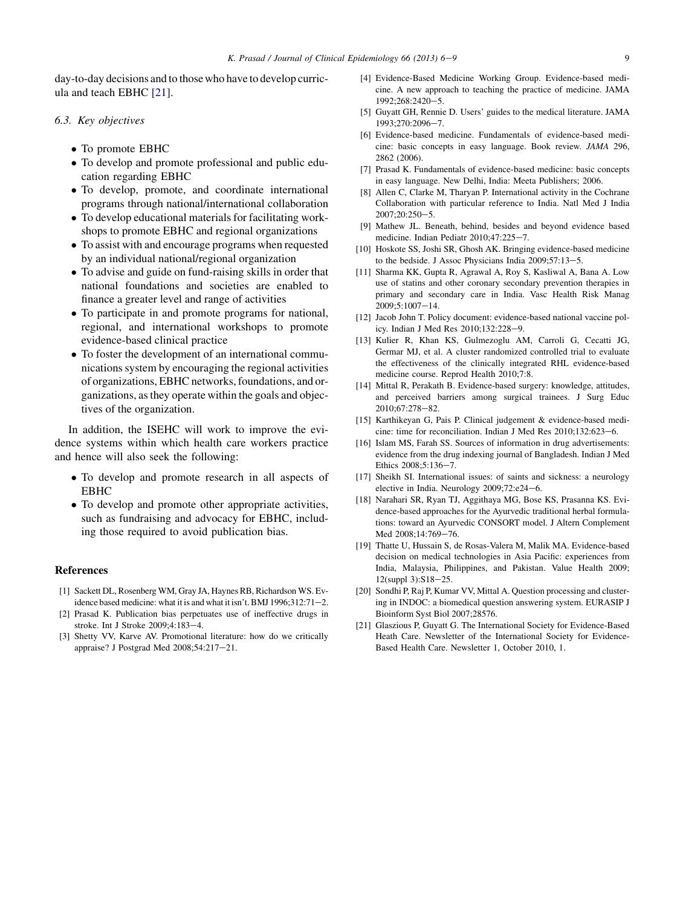<span id="page-12-0"></span>day-to-day decisions and to those who have to develop curricula and teach EBHC [21].

#### 6.3. Key objectives

- To promote EBHC
- " To develop and promote professional and public education regarding EBHC
- To develop, promote, and coordinate international programs through national/international collaboration
- To develop educational materials for facilitating workshops to promote EBHC and regional organizations
- To assist with and encourage programs when requested by an individual national/regional organization
- To advise and guide on fund-raising skills in order that national foundations and societies are enabled to finance a greater level and range of activities
- To participate in and promote programs for national, regional, and international workshops to promote evidence-based clinical practice
- To foster the development of an international communications system by encouraging the regional activities of organizations, EBHC networks, foundations, and organizations, as they operate within the goals and objectives of the organization.

In addition, the ISEHC will work to improve the evidence systems within which health care workers practice and hence will also seek the following:

- To develop and promote research in all aspects of EBHC
- To develop and promote other appropriate activities, such as fundraising and advocacy for EBHC, including those required to avoid publication bias.

#### References

- [1] Sackett DL, Rosenberg WM, Gray JA, Haynes RB, Richardson WS. Evidence based medicine: what it is and what it isn't. BMJ 1996;312:71-2.
- [2] Prasad K. Publication bias perpetuates use of ineffective drugs in stroke. Int J Stroke 2009;4:183-4.
- [3] Shetty VV, Karve AV. Promotional literature: how do we critically appraise? J Postgrad Med 2008;54:217-21.
- [4] Evidence-Based Medicine Working Group. Evidence-based medicine. A new approach to teaching the practice of medicine. JAMA 1992:268:2420-5.
- [5] Guyatt GH, Rennie D. Users' guides to the medical literature. JAMA 1993;270:2096-7.
- [6] Evidence-based medicine. Fundamentals of evidence-based medicine: basic concepts in easy language. Book review. JAMA 296, 2862 (2006).
- [7] Prasad K. Fundamentals of evidence-based medicine: basic concepts in easy language. New Delhi, India: Meeta Publishers; 2006.
- [8] Allen C, Clarke M, Tharyan P. International activity in the Cochrane Collaboration with particular reference to India. Natl Med J India  $2007:20:250 - 5$ .
- [9] Mathew JL. Beneath, behind, besides and beyond evidence based medicine. Indian Pediatr 2010;47:225-7.
- [10] Hoskote SS, Joshi SR, Ghosh AK. Bringing evidence-based medicine to the bedside. J Assoc Physicians India  $2009;57:13-5$ .
- [11] Sharma KK, Gupta R, Agrawal A, Roy S, Kasliwal A, Bana A. Low use of statins and other coronary secondary prevention therapies in primary and secondary care in India. Vasc Health Risk Manag  $2009;5:1007-14.$
- [12] Jacob John T. Policy document: evidence-based national vaccine policy. Indian J Med Res 2010;132:228-9.
- [13] Kulier R, Khan KS, Gulmezoglu AM, Carroli G, Cecatti JG, Germar MJ, et al. A cluster randomized controlled trial to evaluate the effectiveness of the clinically integrated RHL evidence-based medicine course. Reprod Health 2010;7:8.
- [14] Mittal R, Perakath B. Evidence-based surgery: knowledge, attitudes, and perceived barriers among surgical trainees. J Surg Educ 2010;67:278-82.
- [15] Karthikeyan G, Pais P. Clinical judgement & evidence-based medicine: time for reconciliation. Indian J Med Res  $2010;132:623-6$ .
- [16] Islam MS, Farah SS. Sources of information in drug advertisements: evidence from the drug indexing journal of Bangladesh. Indian J Med Ethics 2008;5:136-7.
- [17] Sheikh SI. International issues: of saints and sickness: a neurology elective in India. Neurology  $2009;72: e24-6$ .
- [18] Narahari SR, Ryan TJ, Aggithaya MG, Bose KS, Prasanna KS. Evidence-based approaches for the Ayurvedic traditional herbal formulations: toward an Ayurvedic CONSORT model. J Altern Complement Med 2008;14:769-76.
- [19] Thatte U, Hussain S, de Rosas-Valera M, Malik MA. Evidence-based decision on medical technologies in Asia Pacific: experiences from India, Malaysia, Philippines, and Pakistan. Value Health 2009; 12(suppl 3):S18-25.
- [20] Sondhi P, Raj P, Kumar VV, Mittal A. Question processing and clustering in INDOC: a biomedical question answering system. EURASIP J Bioinform Syst Biol 2007;28576.
- [21] Glaszious P, Guyatt G. The International Society for Evidence-Based Heath Care. Newsletter of the International Society for Evidence-Based Health Care. Newsletter 1, October 2010, 1.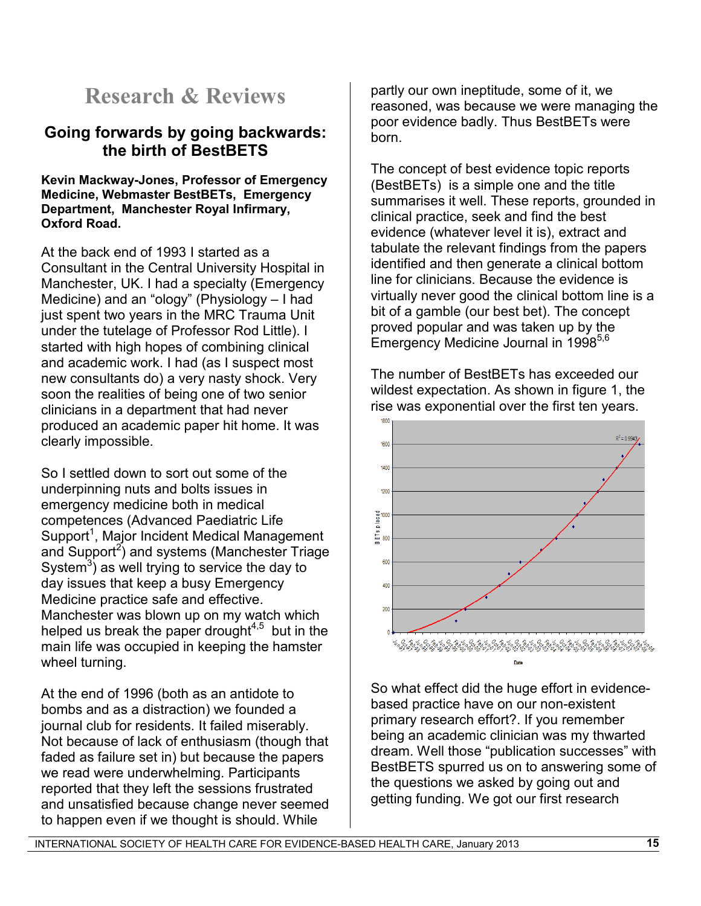# **Research & Reviews**

# **Going forwards by going backwards: the birth of BestBETS**

## **Kevin Mackway-Jones, Professor of Emergency Medicine, Webmaster BestBETs, Emergency Department, Manchester Royal Infirmary, Oxford Road.**

At the back end of 1993 I started as a Consultant in the Central University Hospital in Manchester, UK. I had a specialty (Emergency Medicine) and an "ology" (Physiology – I had just spent two years in the MRC Trauma Unit under the tutelage of Professor Rod Little). I started with high hopes of combining clinical and academic work. I had (as I suspect most new consultants do) a very nasty shock. Very soon the realities of being one of two senior clinicians in a department that had never produced an academic paper hit home. It was clearly impossible.

So I settled down to sort out some of the underpinning nuts and bolts issues in emergency medicine both in medical competences (Advanced Paediatric Life Support<sup>1</sup>, Major Incident Medical Management and Support<sup>2</sup>) and systems (Manchester Triage System<sup>3</sup>) as well trying to service the day to day issues that keep a busy Emergency Medicine practice safe and effective. Manchester was blown up on my watch which helped us break the paper drought $4.5$  but in the main life was occupied in keeping the hamster wheel turning.

At the end of 1996 (both as an antidote to bombs and as a distraction) we founded a journal club for residents. It failed miserably. Not because of lack of enthusiasm (though that faded as failure set in) but because the papers we read were underwhelming. Participants reported that they left the sessions frustrated and unsatisfied because change never seemed to happen even if we thought is should. While

partly our own ineptitude, some of it, we reasoned, was because we were managing the poor evidence badly. Thus BestBETs were born.

The concept of best evidence topic reports (BestBETs) is a simple one and the title summarises it well. These reports, grounded in clinical practice, seek and find the best evidence (whatever level it is), extract and tabulate the relevant findings from the papers identified and then generate a clinical bottom line for clinicians. Because the evidence is virtually never good the clinical bottom line is a bit of a gamble (our best bet). The concept proved popular and was taken up by the Emergency Medicine Journal in 1998<sup>5,6</sup>

The number of BestBETs has exceeded our wildest expectation. As shown in figure 1, the rise was exponential over the first ten years.



So what effect did the huge effort in evidencebased practice have on our non-existent primary research effort?. If you remember being an academic clinician was my thwarted dream. Well those "publication successes" with BestBETS spurred us on to answering some of the questions we asked by going out and getting funding. We got our first research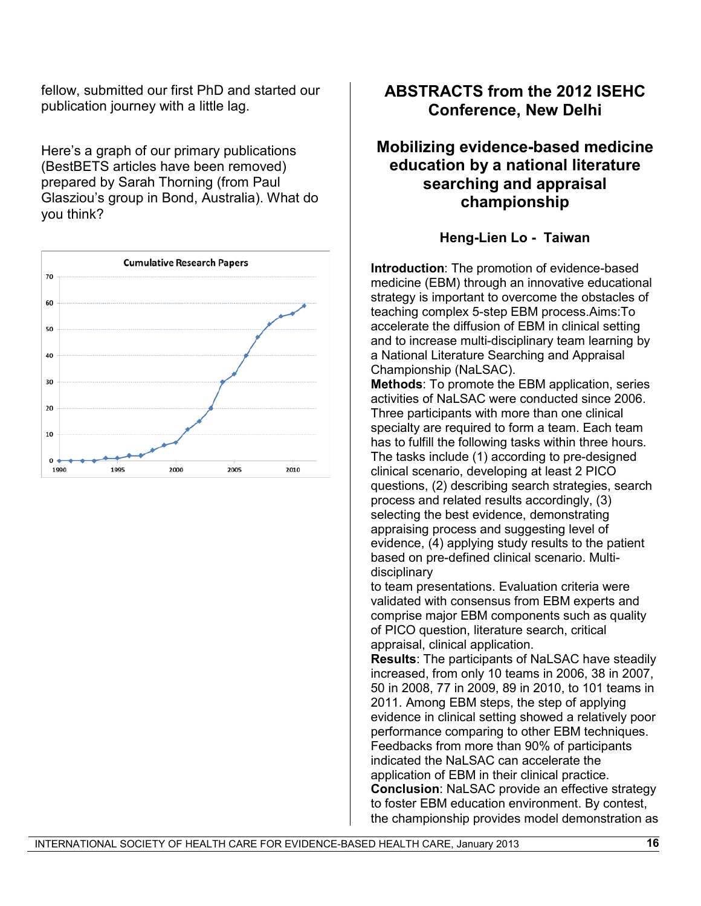fellow, submitted our first PhD and started our publication journey with a little lag.

Here's a graph of our primary publications (BestBETS articles have been removed) prepared by Sarah Thorning (from Paul Glasziou's group in Bond, Australia). What do you think?



# **ABSTRACTS from the 2012 ISEHC Conference, New Delhi**

# **Mobilizing evidence-based medicine education by a national literature searching and appraisal championship**

## **Heng-Lien Lo - Taiwan**

**Introduction**: The promotion of evidence-based medicine (EBM) through an innovative educational strategy is important to overcome the obstacles of teaching complex 5-step EBM process.Aims:To accelerate the diffusion of EBM in clinical setting and to increase multi-disciplinary team learning by a National Literature Searching and Appraisal Championship (NaLSAC).

**Methods**: To promote the EBM application, series activities of NaLSAC were conducted since 2006. Three participants with more than one clinical specialty are required to form a team. Each team has to fulfill the following tasks within three hours. The tasks include (1) according to pre-designed clinical scenario, developing at least 2 PICO questions, (2) describing search strategies, search process and related results accordingly, (3) selecting the best evidence, demonstrating appraising process and suggesting level of evidence, (4) applying study results to the patient based on pre-defined clinical scenario. Multidisciplinary

to team presentations. Evaluation criteria were validated with consensus from EBM experts and comprise major EBM components such as quality of PICO question, literature search, critical appraisal, clinical application.

**Results**: The participants of NaLSAC have steadily increased, from only 10 teams in 2006, 38 in 2007, 50 in 2008, 77 in 2009, 89 in 2010, to 101 teams in 2011. Among EBM steps, the step of applying evidence in clinical setting showed a relatively poor performance comparing to other EBM techniques. Feedbacks from more than 90% of participants indicated the NaLSAC can accelerate the application of EBM in their clinical practice. **Conclusion**: NaLSAC provide an effective strategy to foster EBM education environment. By contest, the championship provides model demonstration as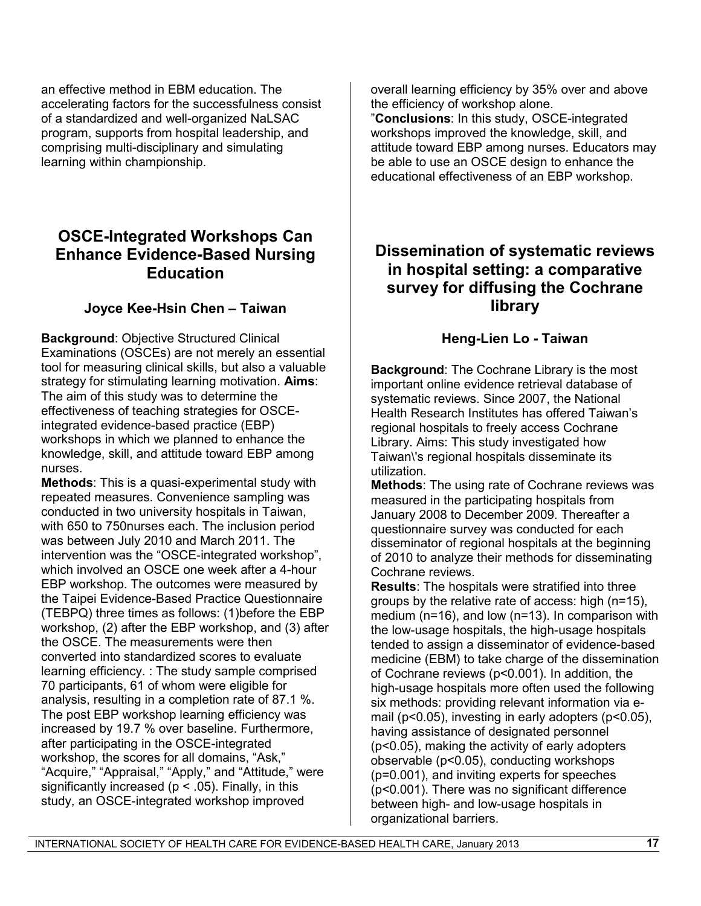an effective method in EBM education. The accelerating factors for the successfulness consist of a standardized and well-organized NaLSAC program, supports from hospital leadership, and comprising multi-disciplinary and simulating learning within championship.

# **OSCE-Integrated Workshops Can Enhance Evidence-Based Nursing Education**

## **Joyce Kee-Hsin Chen – Taiwan**

**Background**: Objective Structured Clinical Examinations (OSCEs) are not merely an essential tool for measuring clinical skills, but also a valuable strategy for stimulating learning motivation. **Aims**: The aim of this study was to determine the effectiveness of teaching strategies for OSCEintegrated evidence-based practice (EBP) workshops in which we planned to enhance the knowledge, skill, and attitude toward EBP among nurses.

**Methods**: This is a quasi-experimental study with repeated measures. Convenience sampling was conducted in two university hospitals in Taiwan, with 650 to 750nurses each. The inclusion period was between July 2010 and March 2011. The intervention was the "OSCE-integrated workshop", which involved an OSCE one week after a 4-hour EBP workshop. The outcomes were measured by the Taipei Evidence-Based Practice Questionnaire (TEBPQ) three times as follows: (1)before the EBP workshop, (2) after the EBP workshop, and (3) after the OSCE. The measurements were then converted into standardized scores to evaluate learning efficiency. : The study sample comprised 70 participants, 61 of whom were eligible for analysis, resulting in a completion rate of 87.1 %. The post EBP workshop learning efficiency was increased by 19.7 % over baseline. Furthermore, after participating in the OSCE-integrated workshop, the scores for all domains, "Ask," "Acquire," "Appraisal," "Apply," and "Attitude," were significantly increased ( $p < .05$ ). Finally, in this study, an OSCE-integrated workshop improved

overall learning efficiency by 35% over and above the efficiency of workshop alone. "**Conclusions**: In this study, OSCE-integrated workshops improved the knowledge, skill, and attitude toward EBP among nurses. Educators may be able to use an OSCE design to enhance the educational effectiveness of an EBP workshop.

# **Dissemination of systematic reviews in hospital setting: a comparative survey for diffusing the Cochrane library**

## **Heng-Lien Lo - Taiwan**

**Background**: The Cochrane Library is the most important online evidence retrieval database of systematic reviews. Since 2007, the National Health Research Institutes has offered Taiwan's regional hospitals to freely access Cochrane Library. Aims: This study investigated how Taiwan\'s regional hospitals disseminate its utilization.

**Methods**: The using rate of Cochrane reviews was measured in the participating hospitals from January 2008 to December 2009. Thereafter a questionnaire survey was conducted for each disseminator of regional hospitals at the beginning of 2010 to analyze their methods for disseminating Cochrane reviews.

**Results**: The hospitals were stratified into three groups by the relative rate of access: high (n=15), medium (n=16), and low (n=13). In comparison with the low-usage hospitals, the high-usage hospitals tended to assign a disseminator of evidence-based medicine (EBM) to take charge of the dissemination of Cochrane reviews (p<0.001). In addition, the high-usage hospitals more often used the following six methods: providing relevant information via email (p<0.05), investing in early adopters (p<0.05), having assistance of designated personnel (p<0.05), making the activity of early adopters observable (p<0.05), conducting workshops (p=0.001), and inviting experts for speeches (p<0.001). There was no significant difference between high- and low-usage hospitals in organizational barriers.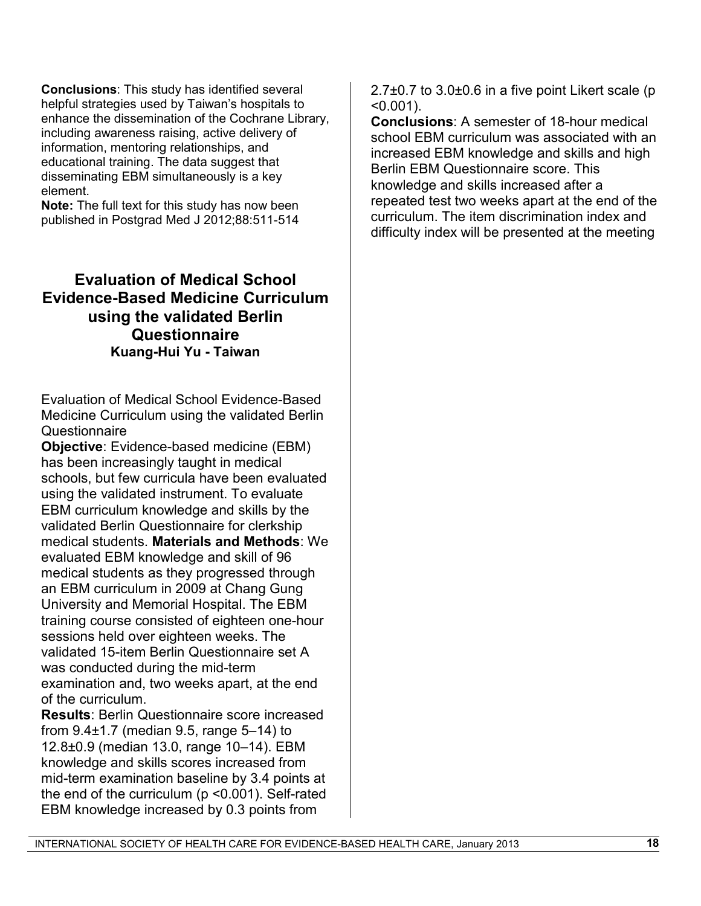**Conclusions**: This study has identified several helpful strategies used by Taiwan's hospitals to enhance the dissemination of the Cochrane Library, including awareness raising, active delivery of information, mentoring relationships, and educational training. The data suggest that disseminating EBM simultaneously is a key element.

**Note:** The full text for this study has now been published in Postgrad Med J 2012;88:511-514

# **Evaluation of Medical School Evidence-Based Medicine Curriculum using the validated Berlin Questionnaire Kuang-Hui Yu - Taiwan**

Evaluation of Medical School Evidence-Based Medicine Curriculum using the validated Berlin **Questionnaire** 

**Objective**: Evidence-based medicine (EBM) has been increasingly taught in medical schools, but few curricula have been evaluated using the validated instrument. To evaluate EBM curriculum knowledge and skills by the validated Berlin Questionnaire for clerkship medical students. **Materials and Methods**: We evaluated EBM knowledge and skill of 96 medical students as they progressed through an EBM curriculum in 2009 at Chang Gung University and Memorial Hospital. The EBM training course consisted of eighteen one-hour sessions held over eighteen weeks. The validated 15-item Berlin Questionnaire set A was conducted during the mid-term examination and, two weeks apart, at the end of the curriculum.

**Results**: Berlin Questionnaire score increased from 9.4±1.7 (median 9.5, range 5–14) to 12.8±0.9 (median 13.0, range 10–14). EBM knowledge and skills scores increased from mid-term examination baseline by 3.4 points at the end of the curriculum (p <0.001). Self-rated EBM knowledge increased by 0.3 points from

 $2.7\pm0.7$  to  $3.0\pm0.6$  in a five point Likert scale (p  $< 0.001$ ).

**Conclusions**: A semester of 18-hour medical school EBM curriculum was associated with an increased EBM knowledge and skills and high Berlin EBM Questionnaire score. This knowledge and skills increased after a repeated test two weeks apart at the end of the curriculum. The item discrimination index and difficulty index will be presented at the meeting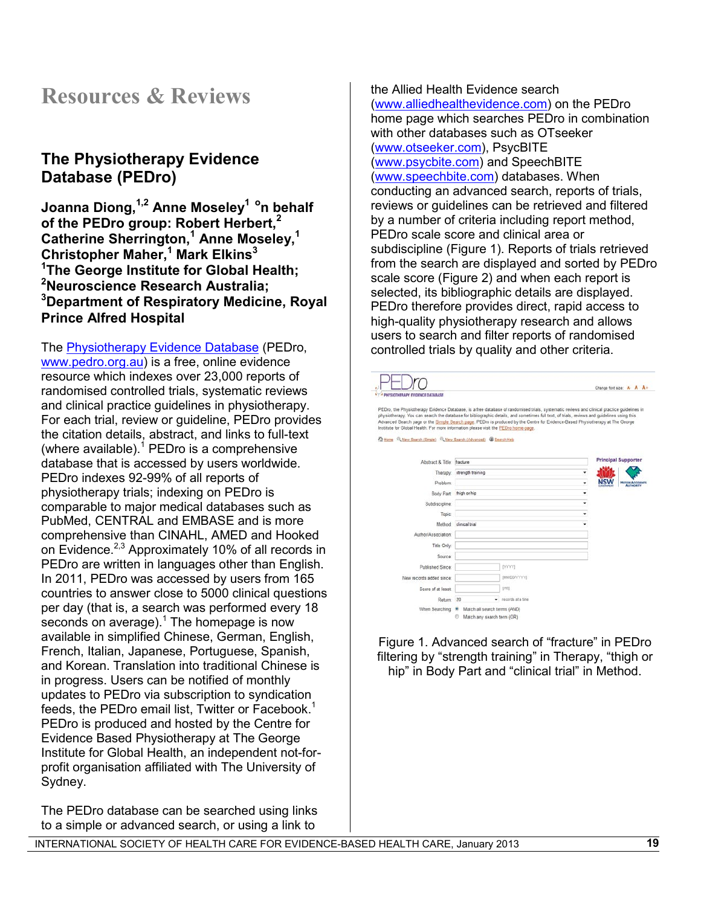# **Resources & Reviews**

# **The Physiotherapy Evidence Database (PEDro)**

**Joanna Diong,1,2 Anne Moseley1 on behalf of the PEDro group: Robert Herbert,<sup>2</sup> Catherine Sherrington,<sup>1</sup> Anne Moseley,<sup>1</sup> Christopher Maher,<sup>1</sup> Mark Elkins<sup>3</sup> 1 The George Institute for Global Health; 2 Neuroscience Research Australia; 3 Department of Respiratory Medicine, Royal Prince Alfred Hospital**

The [Physiotherapy Evidence Database](http://www.pedro.org.au/) (PEDro, [www.pedro.org.au\)](http://www.pedro.org.au/) is a free, online evidence resource which indexes over 23,000 reports of randomised controlled trials, systematic reviews and clinical practice guidelines in physiotherapy. For each trial, review or guideline, PEDro provides the citation details, abstract, and links to full-text (where available). $1$  PEDro is a comprehensive database that is accessed by users worldwide. PEDro indexes 92-99% of all reports of physiotherapy trials; indexing on PEDro is comparable to major medical databases such as PubMed, CENTRAL and EMBASE and is more comprehensive than CINAHL, AMED and Hooked on Evidence.<sup>[2,](#page-4-1)[3](#page-18-0)</sup> Approximately 10% of all records in PEDro are written in languages other than English. In 2011, PEDro was accessed by users from 165 countries to answer close to 5000 clinical questions per day (that is, a search was performed every 18 seconds on average). $1$  The homepage is now available in simplified Chinese, German, English, French, Italian, Japanese, Portuguese, Spanish, and Korean. Translation into traditional Chinese is in progress. Users can be notified of monthly updates to PEDro via subscription to syndication feeds, the PEDro email list, Twitter or Facebook.<sup>[1](#page-4-0)</sup> PEDro is produced and hosted by the Centre for Evidence Based Physiotherapy at The George Institute for Global Health, an independent not-forprofit organisation affiliated with The University of Sydney.

The PEDro database can be searched using links to a simple or advanced search, or using a link to

the Allied Health Evidence search [\(www.alliedhealthevidence.com\)](http://www.alliedhealthevidence.com/) on the PEDro home page which searches PEDro in combination with other databases such as OTseeker [\(www.otseeker.com\)](http://www.otseeker.com/), PsycBITE [\(www.psycbite.com\)](http://www.psycbite.com/) and SpeechBITE [\(www.speechbite.com\)](http://www.speechbite.com/) databases. When conducting an advanced search, reports of trials, reviews or guidelines can be retrieved and filtered by a number of criteria including report method, PEDro scale score and clinical area or subdiscipline (Figure 1). Reports of trials retrieved from the search are displayed and sorted by PEDro scale score (Figure 2) and when each report is selected, its bibliographic details are displayed. PEDro therefore provides direct, rapid access to high-quality physiotherapy research and allows users to search and filter reports of randomised controlled trials by quality and other criteria.

|                                                                                                                                                                                                                                                                                                                                                                                                                                                                                                                    |                            |                     |    | Change font size: A- A A+  |                       |
|--------------------------------------------------------------------------------------------------------------------------------------------------------------------------------------------------------------------------------------------------------------------------------------------------------------------------------------------------------------------------------------------------------------------------------------------------------------------------------------------------------------------|----------------------------|---------------------|----|----------------------------|-----------------------|
| PHYSIOTHERAPY EVIDENCE DATABASE                                                                                                                                                                                                                                                                                                                                                                                                                                                                                    |                            |                     |    |                            |                       |
| PEDro, the Physiotherapy Evidence Database, is a free database of randomised trials, systematic reviews and clinical practice guidelines in<br>physiotherapy. You can search the database for bibliographic details, and sometimes full text, of trials, reviews and guidelines using this<br>Advanced Search page or the Simple Search page. PEDro is produced by the Centre for Evidence-Based Physiotherapy at The George<br>Institute for Global Health. For more information please wsit the PEDro home-page. |                            |                     |    |                            |                       |
| Home Q. New Search (Single) Q. New Search (Advanced) @ Search Help                                                                                                                                                                                                                                                                                                                                                                                                                                                 |                            |                     |    |                            |                       |
| Abstract & Title: fracture                                                                                                                                                                                                                                                                                                                                                                                                                                                                                         |                            |                     |    | <b>Principal Supporter</b> |                       |
|                                                                                                                                                                                                                                                                                                                                                                                                                                                                                                                    | Therapy: strength training |                     | ۰  |                            |                       |
| Problem:                                                                                                                                                                                                                                                                                                                                                                                                                                                                                                           |                            |                     | ž. | NSW                        | <b>MOTOR ACCIDENT</b> |
|                                                                                                                                                                                                                                                                                                                                                                                                                                                                                                                    | Body Part: thigh or hip    |                     | ٠  |                            | <b>AUTHORITY</b>      |
| Subdiscipline:                                                                                                                                                                                                                                                                                                                                                                                                                                                                                                     |                            |                     | ٠  |                            |                       |
| Topic:                                                                                                                                                                                                                                                                                                                                                                                                                                                                                                             |                            |                     | ۰  |                            |                       |
| Method:                                                                                                                                                                                                                                                                                                                                                                                                                                                                                                            | clinical trial             |                     | ۰  |                            |                       |
| Author/Association:                                                                                                                                                                                                                                                                                                                                                                                                                                                                                                |                            |                     |    |                            |                       |
| Title Only:                                                                                                                                                                                                                                                                                                                                                                                                                                                                                                        |                            |                     |    |                            |                       |
| Source:                                                                                                                                                                                                                                                                                                                                                                                                                                                                                                            |                            |                     |    |                            |                       |
| Published Since:                                                                                                                                                                                                                                                                                                                                                                                                                                                                                                   |                            | mm                  |    |                            |                       |
| New records added since:                                                                                                                                                                                                                                                                                                                                                                                                                                                                                           |                            | [MMDD/YYYY]         |    |                            |                       |
| Score of at least:                                                                                                                                                                                                                                                                                                                                                                                                                                                                                                 |                            | [/10]               |    |                            |                       |
|                                                                                                                                                                                                                                                                                                                                                                                                                                                                                                                    |                            |                     |    |                            |                       |
| Return: 20                                                                                                                                                                                                                                                                                                                                                                                                                                                                                                         |                            | - records at a time |    |                            |                       |

Figure 1. Advanced search of "fracture" in PEDro filtering by "strength training" in Therapy, "thigh or hip" in Body Part and "clinical trial" in Method.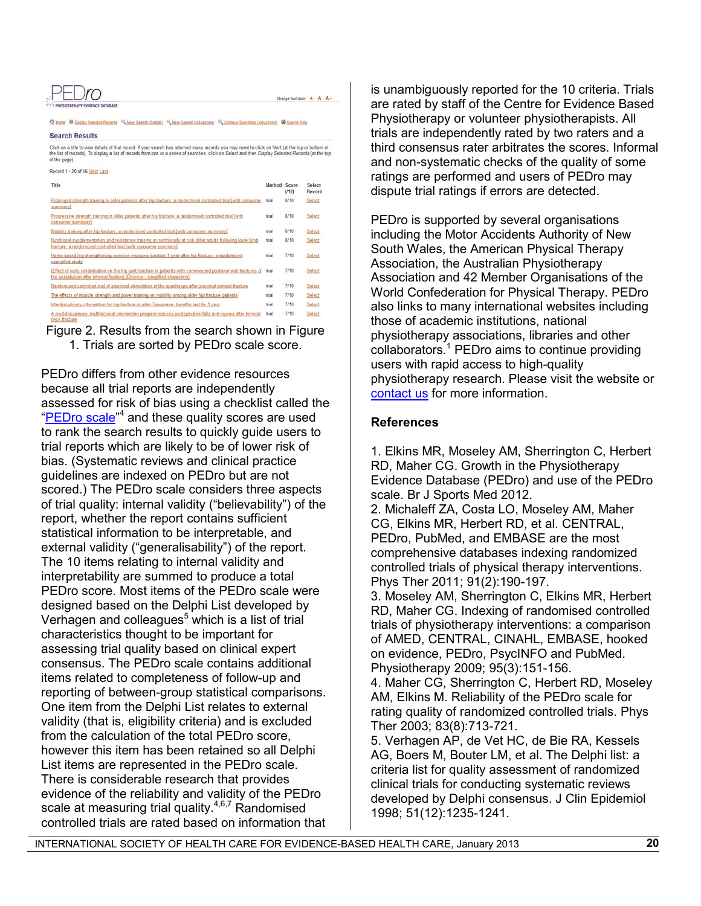#### Iro Change font size: A- A A+

2 Home W Display Selected Records C. New Search (Smole) C. New Search (Advanced) C. Continue Searching (Advanced) C Search Help

#### **Search Results**

Click on a title to view details of that record. If your search has returned many records you may need to click on Next (at the top or bottom of<br>the list of records). To display a list of records from one or a series of se of the page).

| MACOLD 1 - YO OL 40 LAVIT FREE                                                                                                                                                                 |              |       |                  |
|------------------------------------------------------------------------------------------------------------------------------------------------------------------------------------------------|--------------|-------|------------------|
| Title                                                                                                                                                                                          | Method Score | (710) | Select<br>Record |
| Prolonged strength training in older patients after hip fracture: a randomised controlled trial (with consumer<br>summaryl                                                                     | trial        | 8/10  | Select           |
| Progressive strength training in older patients after hip fracture: a randomised controlled trial [with<br>consumer summary]                                                                   | trial        | 8/10  | Select           |
| Mobility training after hip fracture: a randomised controlled trial [with consumer summary]                                                                                                    | trial        | 8/10  | Select           |
| Nutritional supplementation and resistance training in nutritionally at risk older adults following lower limb<br>fracture; a randomized controlled trial (with consumer summary)              | trial        | 8/10  | Select           |
| Home-based leg-strengthening exercise improves function 1 year after hip fracture: a randomized<br>controlled study                                                                            | trial        | 7/10  | Select           |
| (Effect of early rehabilitation on the hip joint function in patients with comminuted posterior wall fractures of<br>the acetabulum after internal fixation) (Chinese - simplified characters) | trial        | 7/10  | Select           |
| Randomised controlled trial of electrical stimulation of the quadriceps after proximal femoral fracture                                                                                        | trial        | 7/10  | Select           |
| The effects of muscle strength and power training on mobility among older hip fracture patients                                                                                                | trial        | 7/10  | Select           |
| Interdisciplinary intervention for hip fracture in older Tanvanese, benefits last for 1 year.                                                                                                  | trial        | 7/10  | Select           |
| A multidisciplinary, multifactorial intervention program reduces postoperative falls and injuries after femoral<br>nock fracture                                                               | trial        | 7/10  | Select           |

Figure 2. Results from the search shown in Figure 1. Trials are sorted by PEDro scale score.

PEDro differs from other evidence resources because all trial reports are independently assessed for risk of bias using a checklist called the ["PEDro scale](http://www.pedro.org.au/english/downloads/pedro-scale/)["](#page-18-1)<sup>4</sup> and these quality scores are used to rank the search results to quickly guide users to trial reports which are likely to be of lower risk of bias. (Systematic reviews and clinical practice guidelines are indexed on PEDro but are not scored.) The PEDro scale considers three aspects of trial quality: internal validity ("believability") of the report, whether the report contains sufficient statistical information to be interpretable, and external validity ("generalisability") of the report. The 10 items relating to internal validity and interpretability are summed to produce a total PEDro score. Most items of the PEDro scale were designed based on the Delphi List developed by Verhagen and colleagues $5$  which is a list of trial characteristics thought to be important for assessing trial quality based on clinical expert consensus. The PEDro scale contains additional items related to completeness of follow-up and reporting of between-group statistical comparisons. One item from the Delphi List relates to external validity (that is, eligibility criteria) and is excluded from the calculation of the total PEDro score, however this item has been retained so all Delphi List items are represented in the PEDro scale. There is considerable research that provides evidence of the reliability and validity of the PEDro scale at measuring trial quality. $4,6,7$  $4,6,7$  $4,6,7$  Randomised controlled trials are rated based on information that

is unambiguously reported for the 10 criteria. Trials are rated by staff of the Centre for Evidence Based Physiotherapy or volunteer physiotherapists. All trials are independently rated by two raters and a third consensus rater arbitrates the scores. Informal and non-systematic checks of the quality of some ratings are performed and users of PEDro may dispute trial ratings if errors are detected.

PEDro is supported by several organisations including the Motor Accidents Authority of New South Wales, the American Physical Therapy Association, the Australian Physiotherapy Association and 42 Member Organisations of the World Confederation for Physical Therapy. PEDro also links to many international websites including those of academic institutions, national physiotherapy associations, libraries and other collaborators.<sup>[1](#page-4-0)</sup> PEDro aims to continue providing users with rapid access to high-quality physiotherapy research. Please visit the website or [contact us](http://www.pedro.org.au/english/about-us/contact-details/) for more information.

#### **References**

1. Elkins MR, Moseley AM, Sherrington C, Herbert RD, Maher CG. Growth in the Physiotherapy Evidence Database (PEDro) and use of the PEDro scale. Br J Sports Med 2012.

2. Michaleff ZA, Costa LO, Moseley AM, Maher CG, Elkins MR, Herbert RD, et al. CENTRAL, PEDro, PubMed, and EMBASE are the most comprehensive databases indexing randomized controlled trials of physical therapy interventions. Phys Ther 2011; 91(2):190-197.

<span id="page-18-0"></span>3. Moseley AM, Sherrington C, Elkins MR, Herbert RD, Maher CG. Indexing of randomised controlled trials of physiotherapy interventions: a comparison of AMED, CENTRAL, CINAHL, EMBASE, hooked on evidence, PEDro, PsycINFO and PubMed. Physiotherapy 2009; 95(3):151-156.

<span id="page-18-1"></span>4. Maher CG, Sherrington C, Herbert RD, Moseley AM, Elkins M. Reliability of the PEDro scale for rating quality of randomized controlled trials. Phys Ther 2003; 83(8):713-721.

<span id="page-18-2"></span>5. Verhagen AP, de Vet HC, de Bie RA, Kessels AG, Boers M, Bouter LM, et al. The Delphi list: a criteria list for quality assessment of randomized clinical trials for conducting systematic reviews developed by Delphi consensus. J Clin Epidemiol 1998; 51(12):1235-1241.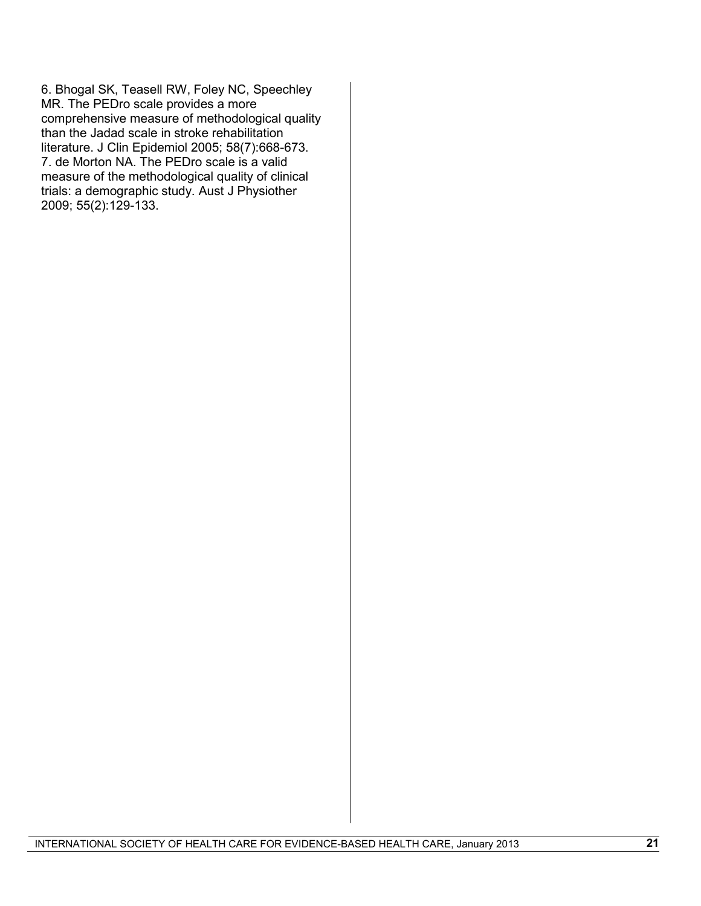<span id="page-19-1"></span><span id="page-19-0"></span>6. Bhogal SK, Teasell RW, Foley NC, Speechley MR. The PEDro scale provides a more comprehensive measure of methodological quality than the Jadad scale in stroke rehabilitation literature. J Clin Epidemiol 2005; 58(7):668-673. 7. de Morton NA. The PEDro scale is a valid measure of the methodological quality of clinical trials: a demographic study. Aust J Physiother 2009; 55(2):129-133.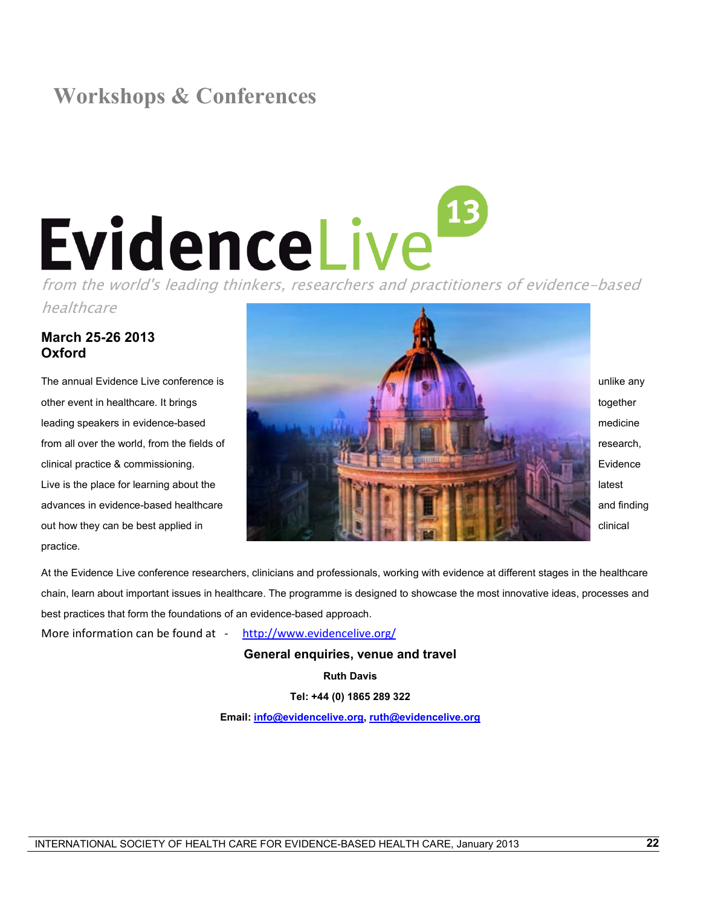# **Workshops & Conferences**

# Form the world's leading thinkers, researchers and practitioners of evidence-based

healthcare

## **March 25-26 2013 Oxford**

practice.



At the Evidence Live conference researchers, clinicians and professionals, working with evidence at different stages in the healthcare chain, learn about important issues in healthcare. The programme is designed to showcase the most innovative ideas, processes and best practices that form the foundations of an evidence-based approach.

More information can be found at - <http://www.evidencelive.org/>

**General enquiries, venue and travel**

**Ruth Davis**

**Tel: +44 (0) 1865 289 322**

**Email: [info@evidencelive.org,](mailto:info@evidencelive.org) [ruth@evidencelive.org](mailto:ruth@evidencelive.org)**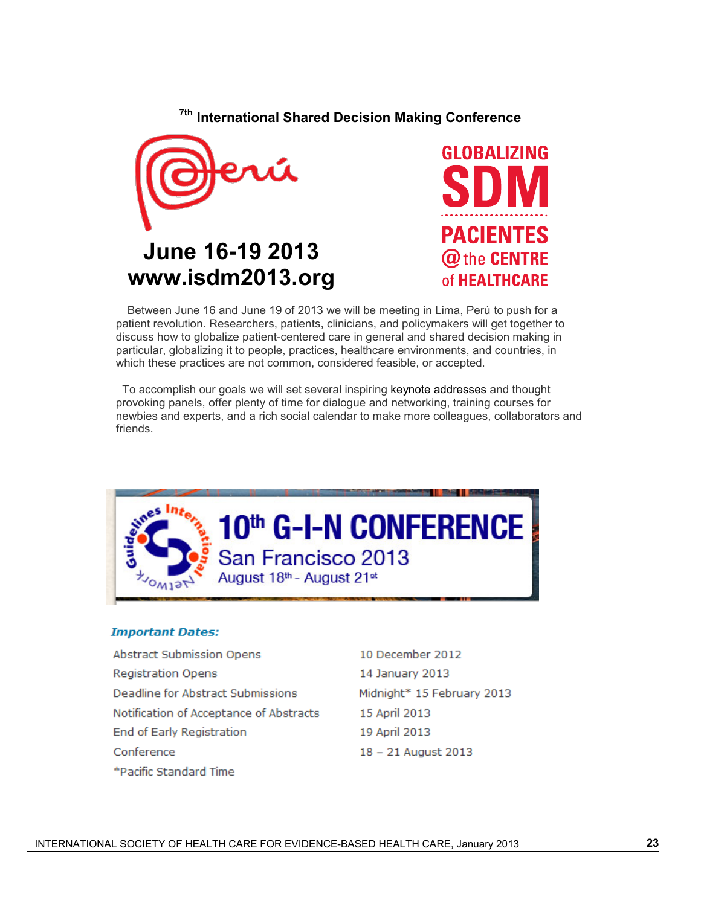**7th International Shared Decision Making Conference**





 Between June 16 and June 19 of 2013 we will be meeting in Lima, Perú to push for a patient revolution. Researchers, patients, clinicians, and policymakers will get together to discuss how to globalize patient-centered care in general and shared decision making in particular, globalizing it to people, practices, healthcare environments, and countries, in which these practices are not common, considered feasible, or accepted.

 To accomplish our goals we will set several inspiring keynote addresses and thought provoking panels, offer plenty of time for dialogue and networking, training courses for newbies and experts, and a rich social calendar to make more colleagues, collaborators and friends.



#### **Important Dates:**

- **Abstract Submission Opens Registration Opens** Deadline for Abstract Submissions Notification of Acceptance of Abstracts End of Early Registration Conference \*Pacific Standard Time
- 10 December 2012 14 January 2013 Midnight\* 15 February 2013 15 April 2013 19 April 2013 18 - 21 August 2013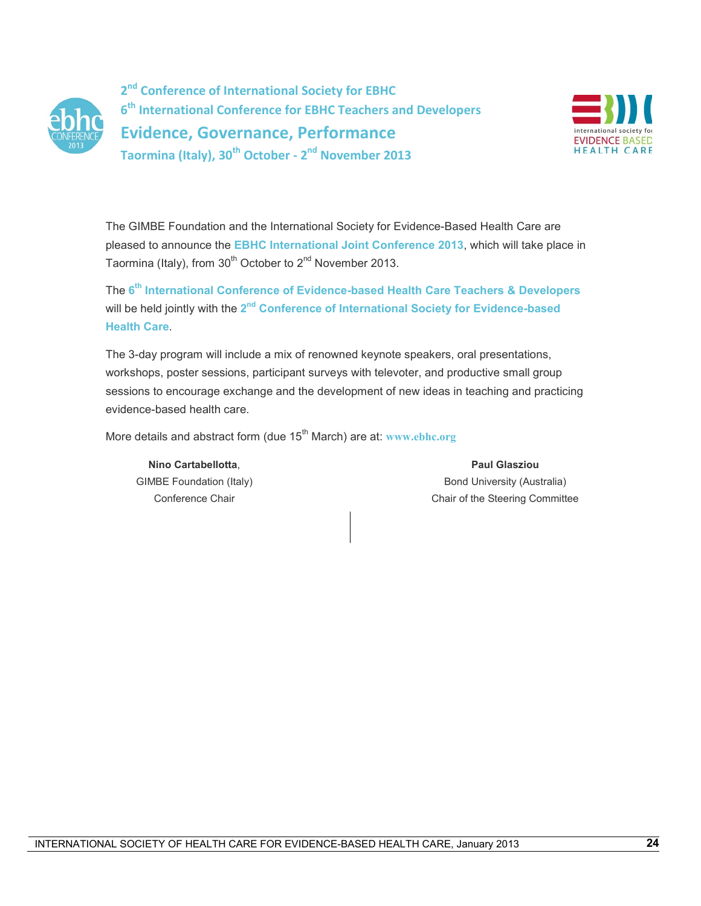

**2nd Conference of International Society for EBHC 6th International Conference for EBHC Teachers and Developers Evidence, Governance, Performance Taormina (Italy), 30th October - 2nd November 2013**



The GIMBE Foundation and the International Society for Evidence-Based Health Care are pleased to announce the **EBHC International Joint Conference 2013**, which will take place in Taormina (Italy), from  $30<sup>th</sup>$  October to  $2<sup>nd</sup>$  November 2013.

The **6th International Conference of Evidence-based Health Care Teachers & Developers** will be held jointly with the 2<sup>nd</sup> Conference of International Society for Evidence-based **Health Care**.

The 3-day program will include a mix of renowned keynote speakers, oral presentations, workshops, poster sessions, participant surveys with televoter, and productive small group sessions to encourage exchange and the development of new ideas in teaching and practicing evidence-based health care.

More details and abstract form (due 15<sup>th</sup> March) are at: [www.ebhc.org](http://www.ebhc.org/)

**Nino Cartabellotta**, GIMBE Foundation (Italy) Conference Chair

## **Paul Glasziou** Bond University (Australia) Chair of the Steering Committee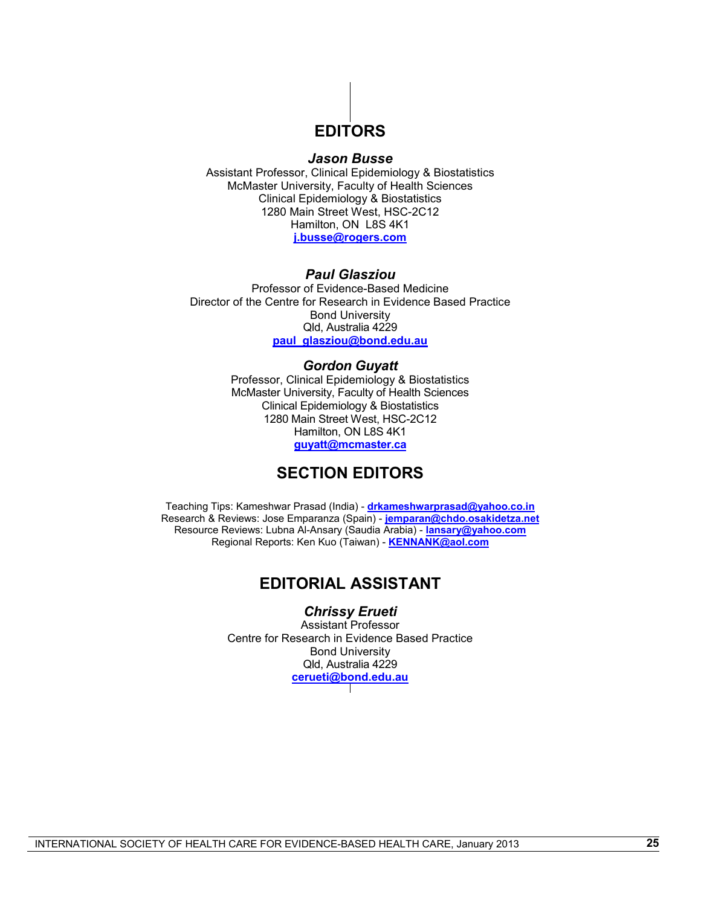# **EDITORS**

#### *Jason Busse*

Assistant Professor, Clinical Epidemiology & Biostatistics McMaster University, Faculty of Health Sciences Clinical Epidemiology & Biostatistics 1280 Main Street West, HSC-2C12 Hamilton, ON L8S 4K1 **[j.busse@rogers.com](mailto:j.busse@rogers.com)**

#### *Paul Glasziou*

Professor of Evidence-Based Medicine Director of the Centre for Research in Evidence Based Practice Bond University Qld, Australia 4229 **[paul\\_glasziou@bond.edu.au](mailto:paul_glasziou@bond.edu.au)**

#### *Gordon Guyatt*

Professor, Clinical Epidemiology & Biostatistics McMaster University, Faculty of Health Sciences Clinical Epidemiology & Biostatistics 1280 Main Street West, HSC-2C12 Hamilton, ON L8S 4K1 **[guyatt@mcmaster.ca](mailto:guyatt@mcmaster.ca)**

# **SECTION EDITORS**

Teaching Tips: Kameshwar Prasad (India) - **[drkameshwarprasad@yahoo.co.in](mailto:drkameshwarprasad@yahoo.co.in)** Research & Reviews: Jose Emparanza (Spain) - **[jemparan@chdo.osakidetza.net](mailto:jemparan@chdo.osakidetza.net)** Resource Reviews: Lubna Al-Ansary (Saudia Arabia) - **[lansary@yahoo.com](mailto:lansary@yahoo.com)** Regional Reports: Ken Kuo (Taiwan) - **[KENNANK@aol.com](mailto:KENNANK@aol.com)**

# **EDITORIAL ASSISTANT**

*Chrissy Erueti*

Assistant Professor Centre for Research in Evidence Based Practice Bond University Qld, Australia 4229 **[cerueti@bond.edu.au](mailto:cerueti@bond.edu.au)**